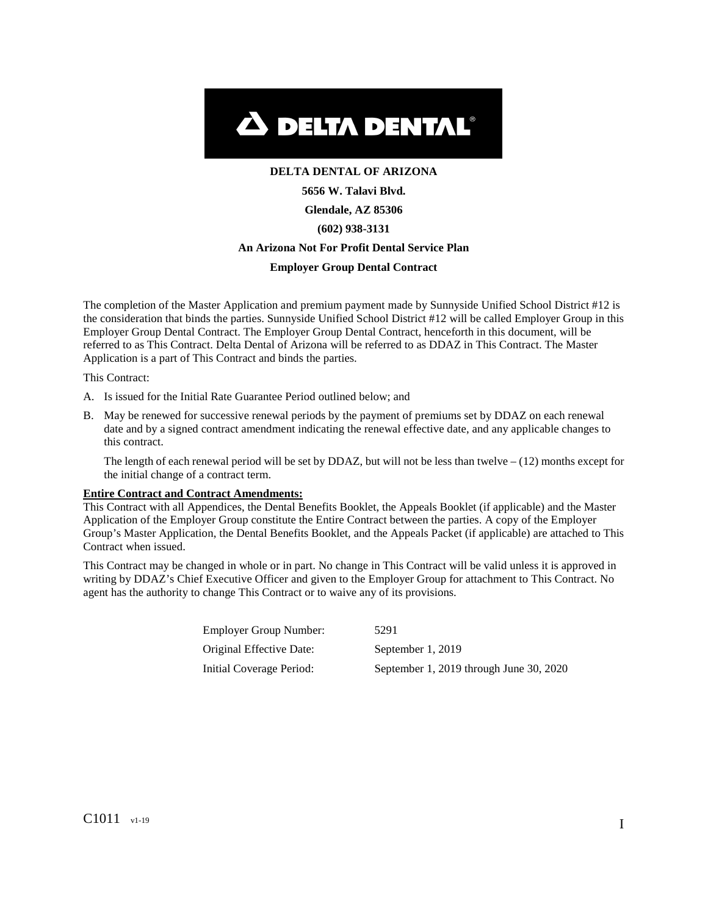

# **DELTA DENTAL OF ARIZONA 5656 W. Talavi Blvd. Glendale, AZ 85306 (602) 938-3131 An Arizona Not For Profit Dental Service Plan Employer Group Dental Contract**

The completion of the Master Application and premium payment made by Sunnyside Unified School District #12 is the consideration that binds the parties. Sunnyside Unified School District #12 will be called Employer Group in this Employer Group Dental Contract. The Employer Group Dental Contract, henceforth in this document, will be referred to as This Contract. Delta Dental of Arizona will be referred to as DDAZ in This Contract. The Master Application is a part of This Contract and binds the parties.

This Contract:

- A. Is issued for the Initial Rate Guarantee Period outlined below; and
- B. May be renewed for successive renewal periods by the payment of premiums set by DDAZ on each renewal date and by a signed contract amendment indicating the renewal effective date, and any applicable changes to this contract.

The length of each renewal period will be set by DDAZ, but will not be less than twelve  $- (12)$  months except for the initial change of a contract term.

#### **Entire Contract and Contract Amendments:**

This Contract with all Appendices, the Dental Benefits Booklet, the Appeals Booklet (if applicable) and the Master Application of the Employer Group constitute the Entire Contract between the parties. A copy of the Employer Group's Master Application, the Dental Benefits Booklet, and the Appeals Packet (if applicable) are attached to This Contract when issued.

This Contract may be changed in whole or in part. No change in This Contract will be valid unless it is approved in writing by DDAZ's Chief Executive Officer and given to the Employer Group for attachment to This Contract. No agent has the authority to change This Contract or to waive any of its provisions.

| Employer Group Number:   | 5291                                    |
|--------------------------|-----------------------------------------|
| Original Effective Date: | September 1, 2019                       |
| Initial Coverage Period: | September 1, 2019 through June 30, 2020 |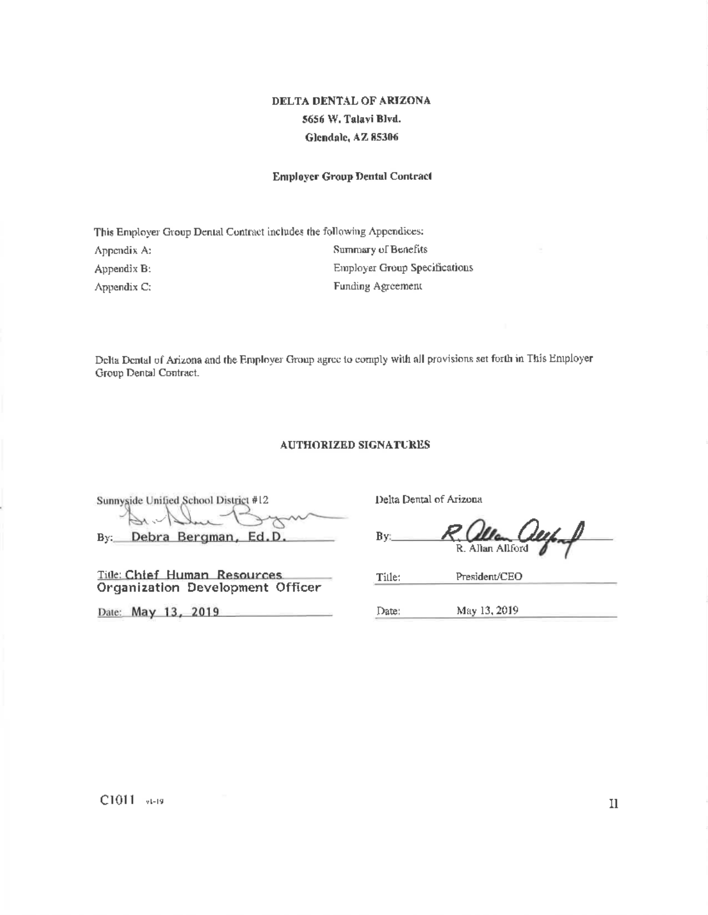# DELTA DENTAL OF ARIZONA 5656 W. Talavi Blvd. Glendale, AZ 85306

#### **Employer Group Dental Contract**

This Employer Group Dental Contract includes the following Appendices: Summary of Benefits Appendix A: **Employer Group Specifications** Appendix B: Funding Agreement Appendix C:

Delta Dental of Arizona and the Employer Group agree to comply with all provisions set forth in This Employer Group Dental Contract.

#### **AUTHORIZED SIGNATURES**

Sunnyside Unified School District #12 By: Debra Bergman, Ed.D.

Title: Chief Human Resources Organization Development Officer

Date: May 13, 2019

Delta Dental of Arizona

By: R. Allan Allford

President/CEO Tille:

Date: May 13, 2019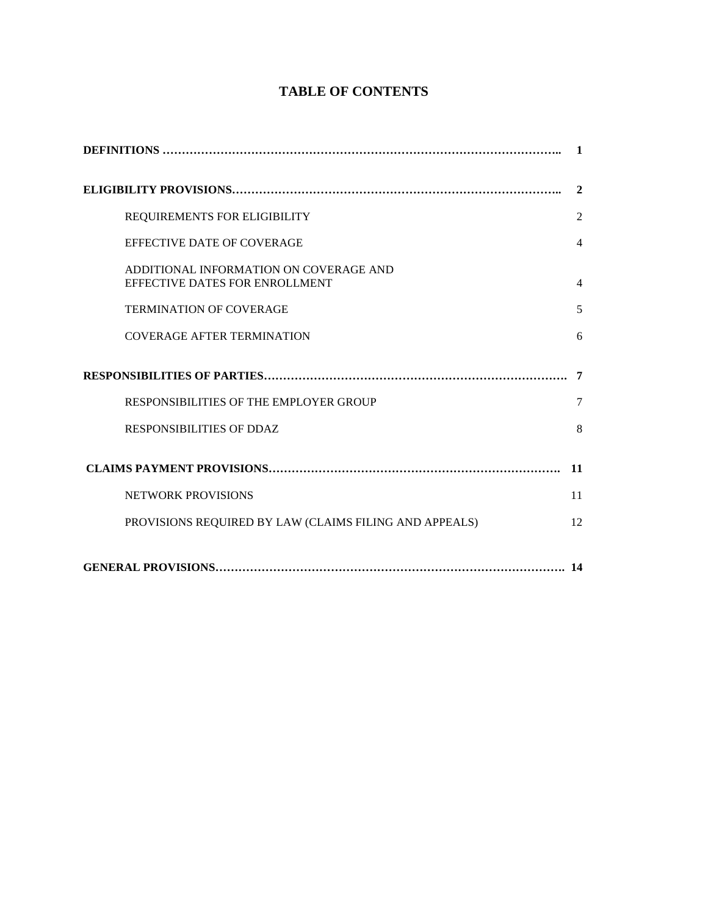# **TABLE OF CONTENTS**

|                                                                          | $\blacksquare$ |
|--------------------------------------------------------------------------|----------------|
|                                                                          | $\mathbf{2}$   |
| REQUIREMENTS FOR ELIGIBILITY                                             | $\overline{2}$ |
| EFFECTIVE DATE OF COVERAGE                                               | $\overline{4}$ |
| ADDITIONAL INFORMATION ON COVERAGE AND<br>EFFECTIVE DATES FOR ENROLLMENT | $\overline{4}$ |
| <b>TERMINATION OF COVERAGE</b>                                           | 5              |
| <b>COVERAGE AFTER TERMINATION</b>                                        | 6              |
|                                                                          | -7             |
| RESPONSIBILITIES OF THE EMPLOYER GROUP                                   | 7              |
| <b>RESPONSIBILITIES OF DDAZ</b>                                          | 8              |
|                                                                          | 11             |
| <b>NETWORK PROVISIONS</b>                                                | 11             |
| PROVISIONS REQUIRED BY LAW (CLAIMS FILING AND APPEALS)                   | 12             |
|                                                                          | 14             |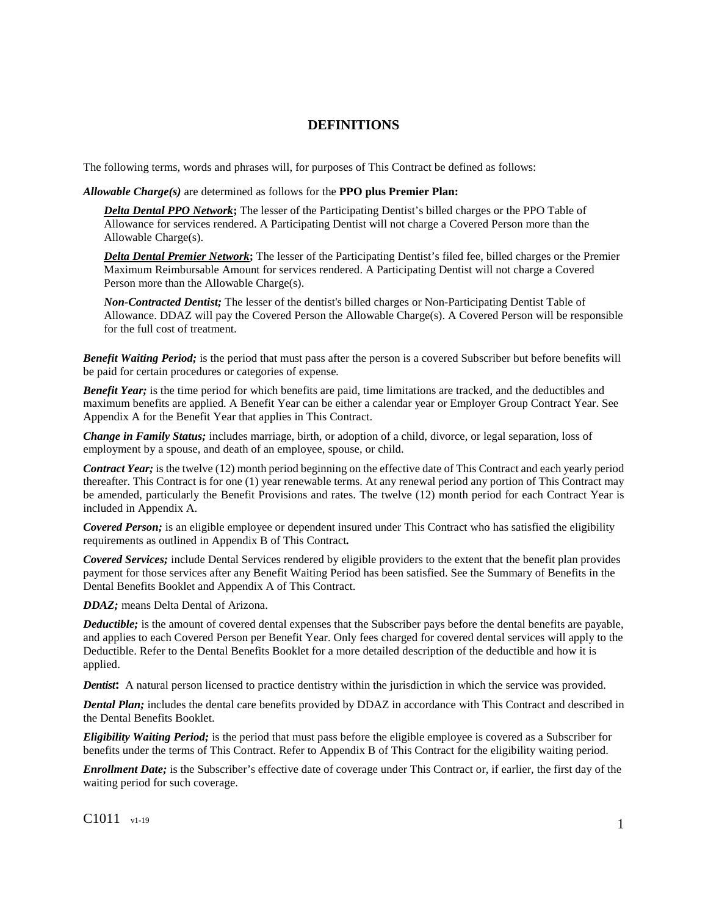## **DEFINITIONS**

The following terms, words and phrases will, for purposes of This Contract be defined as follows:

*Allowable Charge(s)* are determined as follows for the **PPO plus Premier Plan:**

*Delta Dental PPO Network***;** The lesser of the Participating Dentist's billed charges or the PPO Table of Allowance for services rendered. A Participating Dentist will not charge a Covered Person more than the Allowable Charge(s).

*Delta Dental Premier Network***;** The lesser of the Participating Dentist's filed fee, billed charges or the Premier Maximum Reimbursable Amount for services rendered. A Participating Dentist will not charge a Covered Person more than the Allowable Charge(s).

*Non-Contracted Dentist;* The lesser of the dentist's billed charges or Non-Participating Dentist Table of Allowance. DDAZ will pay the Covered Person the Allowable Charge(s). A Covered Person will be responsible for the full cost of treatment.

*Benefit Waiting Period;* is the period that must pass after the person is a covered Subscriber but before benefits will be paid for certain procedures or categories of expense*.*

*Benefit Year;* is the time period for which benefits are paid, time limitations are tracked, and the deductibles and maximum benefits are applied. A Benefit Year can be either a calendar year or Employer Group Contract Year. See Appendix A for the Benefit Year that applies in This Contract.

*Change in Family Status;* includes marriage, birth, or adoption of a child, divorce, or legal separation, loss of employment by a spouse, and death of an employee, spouse, or child.

*Contract Year;* is the twelve (12) month period beginning on the effective date of This Contract and each yearly period thereafter. This Contract is for one (1) year renewable terms. At any renewal period any portion of This Contract may be amended, particularly the Benefit Provisions and rates. The twelve (12) month period for each Contract Year is included in Appendix A.

*Covered Person;* is an eligible employee or dependent insured under This Contract who has satisfied the eligibility requirements as outlined in Appendix B of This Contract*.*

*Covered Services;* include Dental Services rendered by eligible providers to the extent that the benefit plan provides payment for those services after any Benefit Waiting Period has been satisfied. See the Summary of Benefits in the Dental Benefits Booklet and Appendix A of This Contract.

*DDAZ;* means Delta Dental of Arizona.

*Deductible;* is the amount of covered dental expenses that the Subscriber pays before the dental benefits are payable, and applies to each Covered Person per Benefit Year. Only fees charged for covered dental services will apply to the Deductible. Refer to the Dental Benefits Booklet for a more detailed description of the deductible and how it is applied.

*Dentist***:** A natural person licensed to practice dentistry within the jurisdiction in which the service was provided.

*Dental Plan;* includes the dental care benefits provided by DDAZ in accordance with This Contract and described in the Dental Benefits Booklet.

*Eligibility Waiting Period;* is the period that must pass before the eligible employee is covered as a Subscriber for benefits under the terms of This Contract. Refer to Appendix B of This Contract for the eligibility waiting period.

*Enrollment Date;* is the Subscriber's effective date of coverage under This Contract or, if earlier, the first day of the waiting period for such coverage.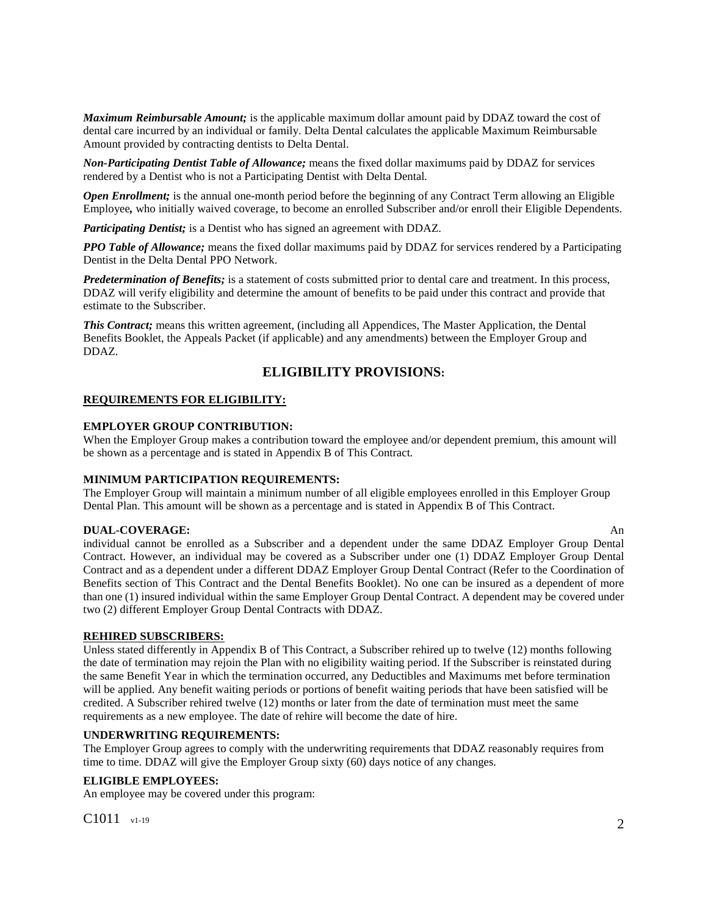*Maximum Reimbursable Amount;* is the applicable maximum dollar amount paid by DDAZ toward the cost of dental care incurred by an individual or family. Delta Dental calculates the applicable Maximum Reimbursable Amount provided by contracting dentists to Delta Dental.

*Non-Participating Dentist Table of Allowance;* means the fixed dollar maximums paid by DDAZ for services rendered by a Dentist who is not a Participating Dentist with Delta Dental*.* 

*Open Enrollment;* is the annual one-month period before the beginning of any Contract Term allowing an Eligible Employee*,* who initially waived coverage, to become an enrolled Subscriber and/or enroll their Eligible Dependents.

*Participating Dentist;* is a Dentist who has signed an agreement with DDAZ.

*PPO Table of Allowance;* means the fixed dollar maximums paid by DDAZ for services rendered by a Participating Dentist in the Delta Dental PPO Network.

*Predetermination of Benefits;* is a statement of costs submitted prior to dental care and treatment. In this process, DDAZ will verify eligibility and determine the amount of benefits to be paid under this contract and provide that estimate to the Subscriber.

**This Contract;** means this written agreement, (including all Appendices, The Master Application, the Dental Benefits Booklet, the Appeals Packet (if applicable) and any amendments) between the Employer Group and DDAZ.

## **ELIGIBILITY PROVISIONS:**

## **REQUIREMENTS FOR ELIGIBILITY:**

## **EMPLOYER GROUP CONTRIBUTION:**

When the Employer Group makes a contribution toward the employee and/or dependent premium, this amount will be shown as a percentage and is stated in Appendix B of This Contract*.* 

#### **MINIMUM PARTICIPATION REQUIREMENTS:**

The Employer Group will maintain a minimum number of all eligible employees enrolled in this Employer Group Dental Plan. This amount will be shown as a percentage and is stated in Appendix B of This Contract.

#### **DUAL-COVERAGE:** An

individual cannot be enrolled as a Subscriber and a dependent under the same DDAZ Employer Group Dental Contract. However, an individual may be covered as a Subscriber under one (1) DDAZ Employer Group Dental Contract and as a dependent under a different DDAZ Employer Group Dental Contract (Refer to the Coordination of Benefits section of This Contract and the Dental Benefits Booklet). No one can be insured as a dependent of more than one (1) insured individual within the same Employer Group Dental Contract. A dependent may be covered under two (2) different Employer Group Dental Contracts with DDAZ.

#### **REHIRED SUBSCRIBERS:**

Unless stated differently in Appendix B of This Contract, a Subscriber rehired up to twelve (12) months following the date of termination may rejoin the Plan with no eligibility waiting period. If the Subscriber is reinstated during the same Benefit Year in which the termination occurred, any Deductibles and Maximums met before termination will be applied. Any benefit waiting periods or portions of benefit waiting periods that have been satisfied will be credited. A Subscriber rehired twelve (12) months or later from the date of termination must meet the same requirements as a new employee. The date of rehire will become the date of hire.

#### **UNDERWRITING REQUIREMENTS:**

The Employer Group agrees to comply with the underwriting requirements that DDAZ reasonably requires from time to time. DDAZ will give the Employer Group sixty (60) days notice of any changes.

#### **ELIGIBLE EMPLOYEES:**

An employee may be covered under this program:

C1011  $_{\rm v1-19}$  2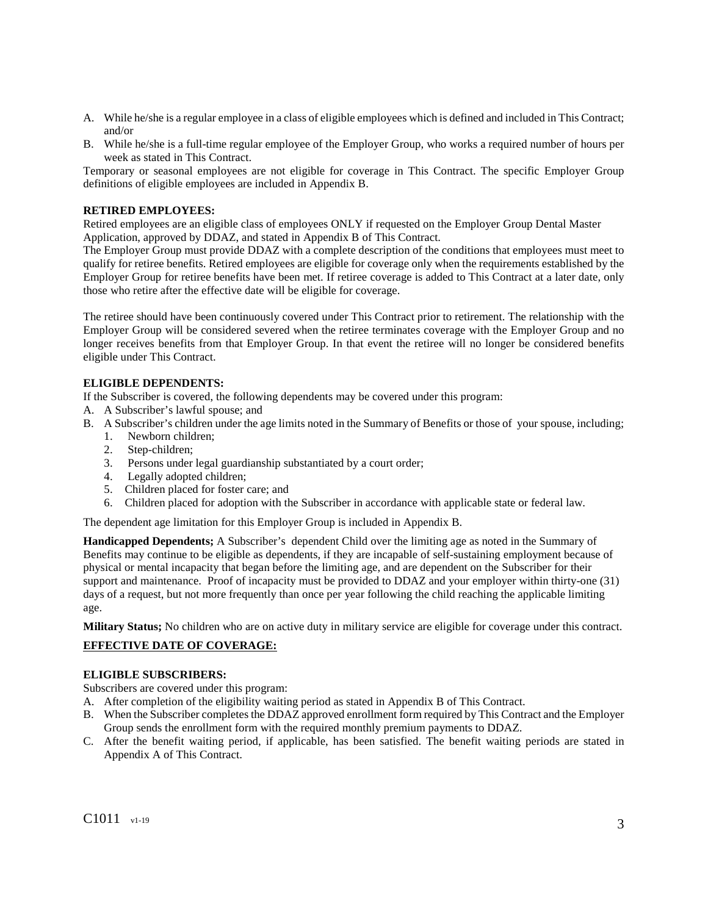- A. While he/she is a regular employee in a class of eligible employees which is defined and included in This Contract; and/or
- B. While he/she is a full-time regular employee of the Employer Group, who works a required number of hours per week as stated in This Contract.

Temporary or seasonal employees are not eligible for coverage in This Contract. The specific Employer Group definitions of eligible employees are included in Appendix B.

#### **RETIRED EMPLOYEES:**

Retired employees are an eligible class of employees ONLY if requested on the Employer Group Dental Master Application, approved by DDAZ, and stated in Appendix B of This Contract.

The Employer Group must provide DDAZ with a complete description of the conditions that employees must meet to qualify for retiree benefits. Retired employees are eligible for coverage only when the requirements established by the Employer Group for retiree benefits have been met. If retiree coverage is added to This Contract at a later date, only those who retire after the effective date will be eligible for coverage.

The retiree should have been continuously covered under This Contract prior to retirement. The relationship with the Employer Group will be considered severed when the retiree terminates coverage with the Employer Group and no longer receives benefits from that Employer Group. In that event the retiree will no longer be considered benefits eligible under This Contract.

## **ELIGIBLE DEPENDENTS:**

If the Subscriber is covered, the following dependents may be covered under this program:

- A. A Subscriber's lawful spouse; and
- B. A Subscriber's children under the age limits noted in the Summary of Benefits or those of your spouse, including;
	- 1. Newborn children;
	- 2. Step-children;
	- 3. Persons under legal guardianship substantiated by a court order;
	- 4. Legally adopted children;
	- 5. Children placed for foster care; and
	- 6. Children placed for adoption with the Subscriber in accordance with applicable state or federal law.

The dependent age limitation for this Employer Group is included in Appendix B.

**Handicapped Dependents;** A Subscriber's dependent Child over the limiting age as noted in the Summary of Benefits may continue to be eligible as dependents, if they are incapable of self-sustaining employment because of physical or mental incapacity that began before the limiting age, and are dependent on the Subscriber for their support and maintenance. Proof of incapacity must be provided to DDAZ and your employer within thirty-one (31) days of a request, but not more frequently than once per year following the child reaching the applicable limiting age.

**Military Status;** No children who are on active duty in military service are eligible for coverage under this contract.

## **EFFECTIVE DATE OF COVERAGE:**

#### **ELIGIBLE SUBSCRIBERS:**

Subscribers are covered under this program:

- A. After completion of the eligibility waiting period as stated in Appendix B of This Contract.
- B. When the Subscriber completes the DDAZ approved enrollment form required by This Contract and the Employer Group sends the enrollment form with the required monthly premium payments to DDAZ.
- C. After the benefit waiting period, if applicable, has been satisfied. The benefit waiting periods are stated in Appendix A of This Contract.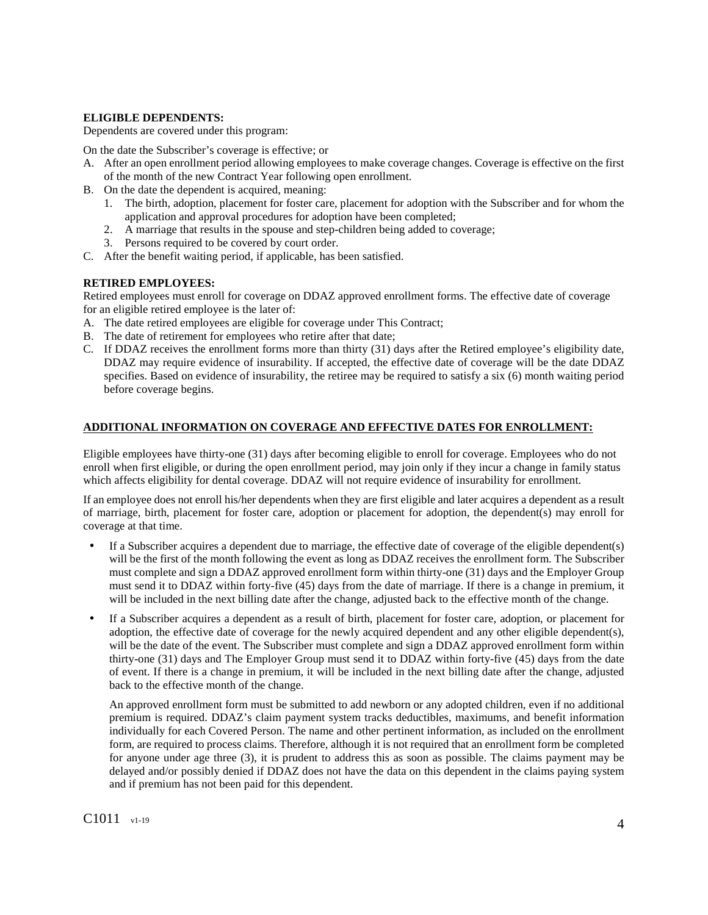## **ELIGIBLE DEPENDENTS:**

Dependents are covered under this program:

On the date the Subscriber's coverage is effective; or

- A. After an open enrollment period allowing employees to make coverage changes. Coverage is effective on the first of the month of the new Contract Year following open enrollment.
- B. On the date the dependent is acquired, meaning:
	- 1. The birth, adoption, placement for foster care, placement for adoption with the Subscriber and for whom the application and approval procedures for adoption have been completed;
	- 2. A marriage that results in the spouse and step-children being added to coverage;
	- 3. Persons required to be covered by court order.
- C. After the benefit waiting period, if applicable, has been satisfied.

## **RETIRED EMPLOYEES:**

Retired employees must enroll for coverage on DDAZ approved enrollment forms. The effective date of coverage for an eligible retired employee is the later of:

- A. The date retired employees are eligible for coverage under This Contract;
- B. The date of retirement for employees who retire after that date;
- C. If DDAZ receives the enrollment forms more than thirty (31) days after the Retired employee's eligibility date, DDAZ may require evidence of insurability. If accepted, the effective date of coverage will be the date DDAZ specifies. Based on evidence of insurability, the retiree may be required to satisfy a six (6) month waiting period before coverage begins.

## **ADDITIONAL INFORMATION ON COVERAGE AND EFFECTIVE DATES FOR ENROLLMENT:**

Eligible employees have thirty-one (31) days after becoming eligible to enroll for coverage. Employees who do not enroll when first eligible, or during the open enrollment period, may join only if they incur a change in family status which affects eligibility for dental coverage. DDAZ will not require evidence of insurability for enrollment.

If an employee does not enroll his/her dependents when they are first eligible and later acquires a dependent as a result of marriage, birth, placement for foster care, adoption or placement for adoption, the dependent(s) may enroll for coverage at that time.

- If a Subscriber acquires a dependent due to marriage, the effective date of coverage of the eligible dependent(s) will be the first of the month following the event as long as DDAZ receives the enrollment form. The Subscriber must complete and sign a DDAZ approved enrollment form within thirty-one (31) days and the Employer Group must send it to DDAZ within forty-five (45) days from the date of marriage. If there is a change in premium, it will be included in the next billing date after the change, adjusted back to the effective month of the change.
- If a Subscriber acquires a dependent as a result of birth, placement for foster care, adoption, or placement for adoption, the effective date of coverage for the newly acquired dependent and any other eligible dependent(s), will be the date of the event. The Subscriber must complete and sign a DDAZ approved enrollment form within thirty-one (31) days and The Employer Group must send it to DDAZ within forty-five (45) days from the date of event. If there is a change in premium, it will be included in the next billing date after the change, adjusted back to the effective month of the change.

An approved enrollment form must be submitted to add newborn or any adopted children, even if no additional premium is required. DDAZ's claim payment system tracks deductibles, maximums, and benefit information individually for each Covered Person. The name and other pertinent information, as included on the enrollment form, are required to process claims. Therefore, although it is not required that an enrollment form be completed for anyone under age three (3), it is prudent to address this as soon as possible. The claims payment may be delayed and/or possibly denied if DDAZ does not have the data on this dependent in the claims paying system and if premium has not been paid for this dependent.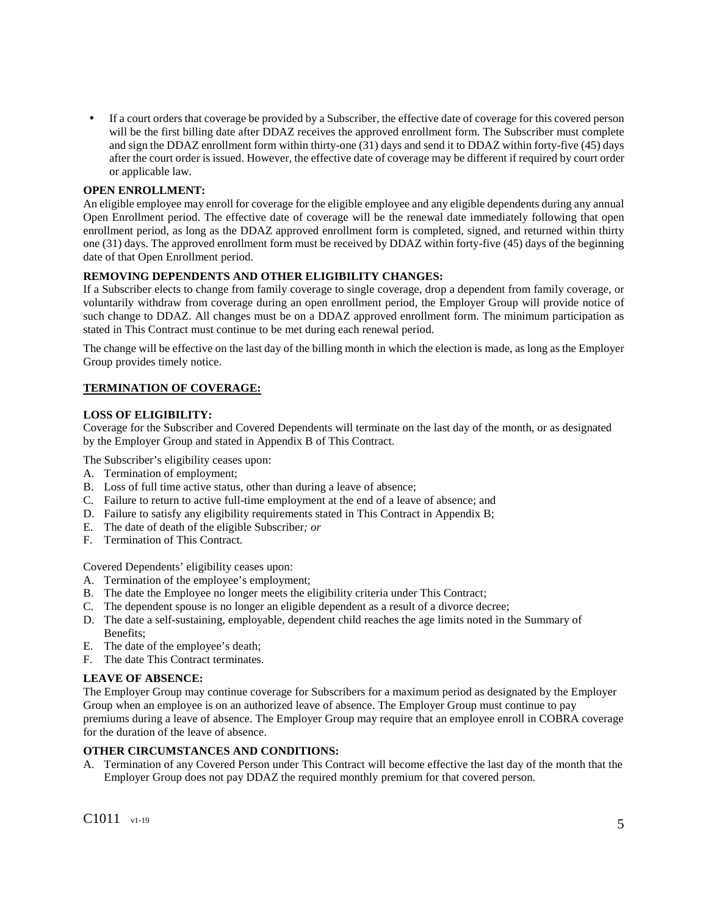• If a court orders that coverage be provided by a Subscriber, the effective date of coverage for this covered person will be the first billing date after DDAZ receives the approved enrollment form. The Subscriber must complete and sign the DDAZ enrollment form within thirty-one (31) days and send it to DDAZ within forty-five (45) days after the court order is issued. However, the effective date of coverage may be different if required by court order or applicable law.

## **OPEN ENROLLMENT:**

An eligible employee may enroll for coverage for the eligible employee and any eligible dependents during any annual Open Enrollment period. The effective date of coverage will be the renewal date immediately following that open enrollment period, as long as the DDAZ approved enrollment form is completed, signed, and returned within thirty one (31) days. The approved enrollment form must be received by DDAZ within forty-five (45) days of the beginning date of that Open Enrollment period.

## **REMOVING DEPENDENTS AND OTHER ELIGIBILITY CHANGES:**

If a Subscriber elects to change from family coverage to single coverage, drop a dependent from family coverage, or voluntarily withdraw from coverage during an open enrollment period, the Employer Group will provide notice of such change to DDAZ. All changes must be on a DDAZ approved enrollment form. The minimum participation as stated in This Contract must continue to be met during each renewal period.

The change will be effective on the last day of the billing month in which the election is made, as long as the Employer Group provides timely notice.

## **TERMINATION OF COVERAGE:**

## **LOSS OF ELIGIBILITY:**

Coverage for the Subscriber and Covered Dependents will terminate on the last day of the month, or as designated by the Employer Group and stated in Appendix B of This Contract.

The Subscriber's eligibility ceases upon:

- A. Termination of employment;
- B. Loss of full time active status, other than during a leave of absence;
- C. Failure to return to active full-time employment at the end of a leave of absence; and
- D. Failure to satisfy any eligibility requirements stated in This Contract in Appendix B;
- E. The date of death of the eligible Subscriber*; or*
- F. Termination of This Contract.

Covered Dependents' eligibility ceases upon:

- A. Termination of the employee's employment;
- B. The date the Employee no longer meets the eligibility criteria under This Contract;
- C. The dependent spouse is no longer an eligible dependent as a result of a divorce decree;
- D. The date a self-sustaining, employable, dependent child reaches the age limits noted in the Summary of Benefits;
- E. The date of the employee's death;
- F. The date This Contract terminates.

## **LEAVE OF ABSENCE:**

The Employer Group may continue coverage for Subscribers for a maximum period as designated by the Employer Group when an employee is on an authorized leave of absence. The Employer Group must continue to pay premiums during a leave of absence. The Employer Group may require that an employee enroll in COBRA coverage for the duration of the leave of absence.

#### **OTHER CIRCUMSTANCES AND CONDITIONS:**

A. Termination of any Covered Person under This Contract will become effective the last day of the month that the Employer Group does not pay DDAZ the required monthly premium for that covered person.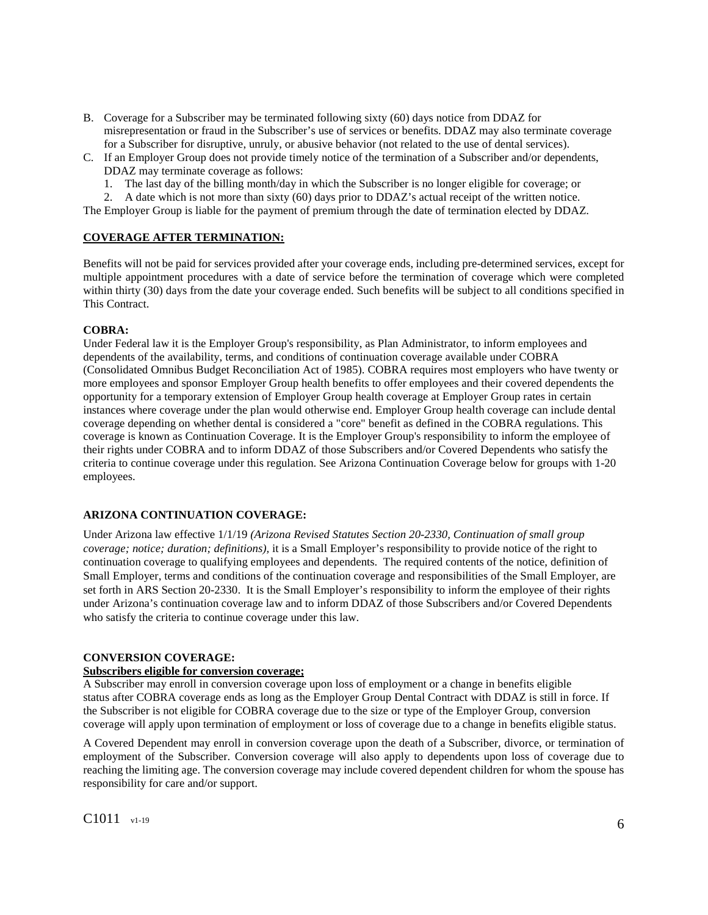- B. Coverage for a Subscriber may be terminated following sixty (60) days notice from DDAZ for misrepresentation or fraud in the Subscriber's use of services or benefits. DDAZ may also terminate coverage for a Subscriber for disruptive, unruly, or abusive behavior (not related to the use of dental services).
- C. If an Employer Group does not provide timely notice of the termination of a Subscriber and/or dependents, DDAZ may terminate coverage as follows:
	- 1. The last day of the billing month/day in which the Subscriber is no longer eligible for coverage; or
	- 2. A date which is not more than sixty (60) days prior to DDAZ's actual receipt of the written notice.

The Employer Group is liable for the payment of premium through the date of termination elected by DDAZ.

## **COVERAGE AFTER TERMINATION:**

Benefits will not be paid for services provided after your coverage ends, including pre-determined services, except for multiple appointment procedures with a date of service before the termination of coverage which were completed within thirty (30) days from the date your coverage ended. Such benefits will be subject to all conditions specified in This Contract.

#### **COBRA:**

Under Federal law it is the Employer Group's responsibility, as Plan Administrator, to inform employees and dependents of the availability, terms, and conditions of continuation coverage available under COBRA (Consolidated Omnibus Budget Reconciliation Act of 1985). COBRA requires most employers who have twenty or more employees and sponsor Employer Group health benefits to offer employees and their covered dependents the opportunity for a temporary extension of Employer Group health coverage at Employer Group rates in certain instances where coverage under the plan would otherwise end. Employer Group health coverage can include dental coverage depending on whether dental is considered a "core" benefit as defined in the COBRA regulations. This coverage is known as Continuation Coverage. It is the Employer Group's responsibility to inform the employee of their rights under COBRA and to inform DDAZ of those Subscribers and/or Covered Dependents who satisfy the criteria to continue coverage under this regulation. See Arizona Continuation Coverage below for groups with 1-20 employees.

## **ARIZONA CONTINUATION COVERAGE:**

Under Arizona law effective 1/1/19 *(Arizona Revised Statutes Section 20-2330, Continuation of small group coverage; notice; duration; definitions),* it is a Small Employer's responsibility to provide notice of the right to continuation coverage to qualifying employees and dependents. The required contents of the notice, definition of Small Employer, terms and conditions of the continuation coverage and responsibilities of the Small Employer, are set forth in ARS Section 20-2330. It is the Small Employer's responsibility to inform the employee of their rights under Arizona's continuation coverage law and to inform DDAZ of those Subscribers and/or Covered Dependents who satisfy the criteria to continue coverage under this law.

#### **CONVERSION COVERAGE:**

## **Subscribers eligible for conversion coverage;**

A Subscriber may enroll in conversion coverage upon loss of employment or a change in benefits eligible status after COBRA coverage ends as long as the Employer Group Dental Contract with DDAZ is still in force. If the Subscriber is not eligible for COBRA coverage due to the size or type of the Employer Group, conversion coverage will apply upon termination of employment or loss of coverage due to a change in benefits eligible status.

A Covered Dependent may enroll in conversion coverage upon the death of a Subscriber, divorce, or termination of employment of the Subscriber. Conversion coverage will also apply to dependents upon loss of coverage due to reaching the limiting age. The conversion coverage may include covered dependent children for whom the spouse has responsibility for care and/or support.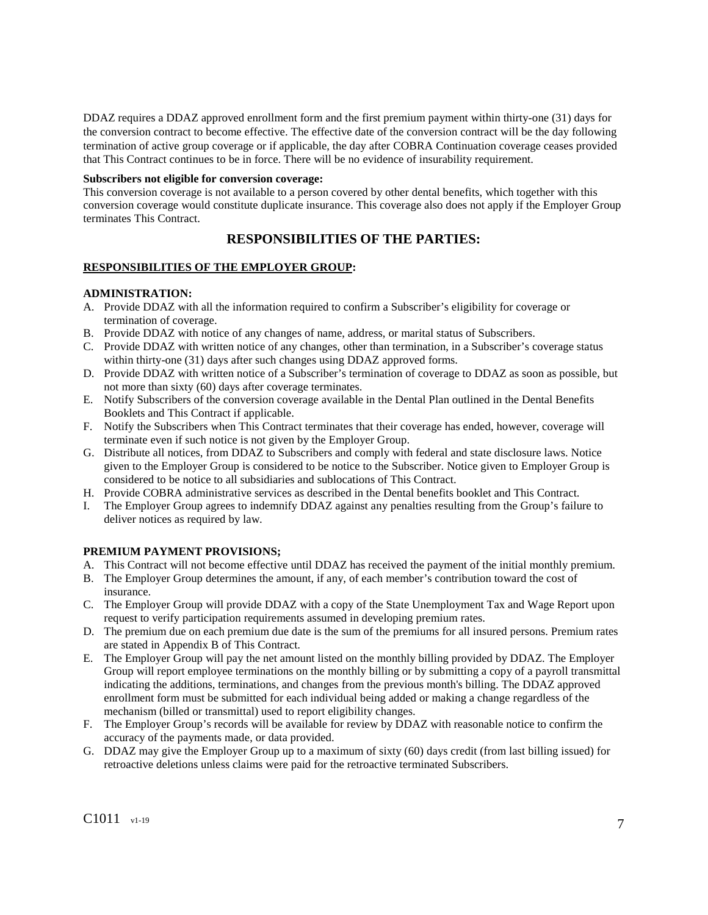DDAZ requires a DDAZ approved enrollment form and the first premium payment within thirty-one (31) days for the conversion contract to become effective. The effective date of the conversion contract will be the day following termination of active group coverage or if applicable, the day after COBRA Continuation coverage ceases provided that This Contract continues to be in force. There will be no evidence of insurability requirement.

#### **Subscribers not eligible for conversion coverage:**

This conversion coverage is not available to a person covered by other dental benefits, which together with this conversion coverage would constitute duplicate insurance. This coverage also does not apply if the Employer Group terminates This Contract.

# **RESPONSIBILITIES OF THE PARTIES:**

## **RESPONSIBILITIES OF THE EMPLOYER GROUP:**

## **ADMINISTRATION:**

- A. Provide DDAZ with all the information required to confirm a Subscriber's eligibility for coverage or termination of coverage.
- B. Provide DDAZ with notice of any changes of name, address, or marital status of Subscribers.
- C. Provide DDAZ with written notice of any changes, other than termination, in a Subscriber's coverage status within thirty-one (31) days after such changes using DDAZ approved forms.
- D. Provide DDAZ with written notice of a Subscriber's termination of coverage to DDAZ as soon as possible, but not more than sixty (60) days after coverage terminates.
- E. Notify Subscribers of the conversion coverage available in the Dental Plan outlined in the Dental Benefits Booklets and This Contract if applicable.
- F. Notify the Subscribers when This Contract terminates that their coverage has ended, however, coverage will terminate even if such notice is not given by the Employer Group.
- G. Distribute all notices, from DDAZ to Subscribers and comply with federal and state disclosure laws. Notice given to the Employer Group is considered to be notice to the Subscriber. Notice given to Employer Group is considered to be notice to all subsidiaries and sublocations of This Contract.
- H. Provide COBRA administrative services as described in the Dental benefits booklet and This Contract.
- I. The Employer Group agrees to indemnify DDAZ against any penalties resulting from the Group's failure to deliver notices as required by law.

## **PREMIUM PAYMENT PROVISIONS;**

- A. This Contract will not become effective until DDAZ has received the payment of the initial monthly premium.
- B. The Employer Group determines the amount, if any, of each member's contribution toward the cost of insurance.
- C. The Employer Group will provide DDAZ with a copy of the State Unemployment Tax and Wage Report upon request to verify participation requirements assumed in developing premium rates.
- D. The premium due on each premium due date is the sum of the premiums for all insured persons. Premium rates are stated in Appendix B of This Contract.
- E. The Employer Group will pay the net amount listed on the monthly billing provided by DDAZ. The Employer Group will report employee terminations on the monthly billing or by submitting a copy of a payroll transmittal indicating the additions, terminations, and changes from the previous month's billing. The DDAZ approved enrollment form must be submitted for each individual being added or making a change regardless of the mechanism (billed or transmittal) used to report eligibility changes.
- F. The Employer Group's records will be available for review by DDAZ with reasonable notice to confirm the accuracy of the payments made, or data provided.
- G. DDAZ may give the Employer Group up to a maximum of sixty (60) days credit (from last billing issued) for retroactive deletions unless claims were paid for the retroactive terminated Subscribers.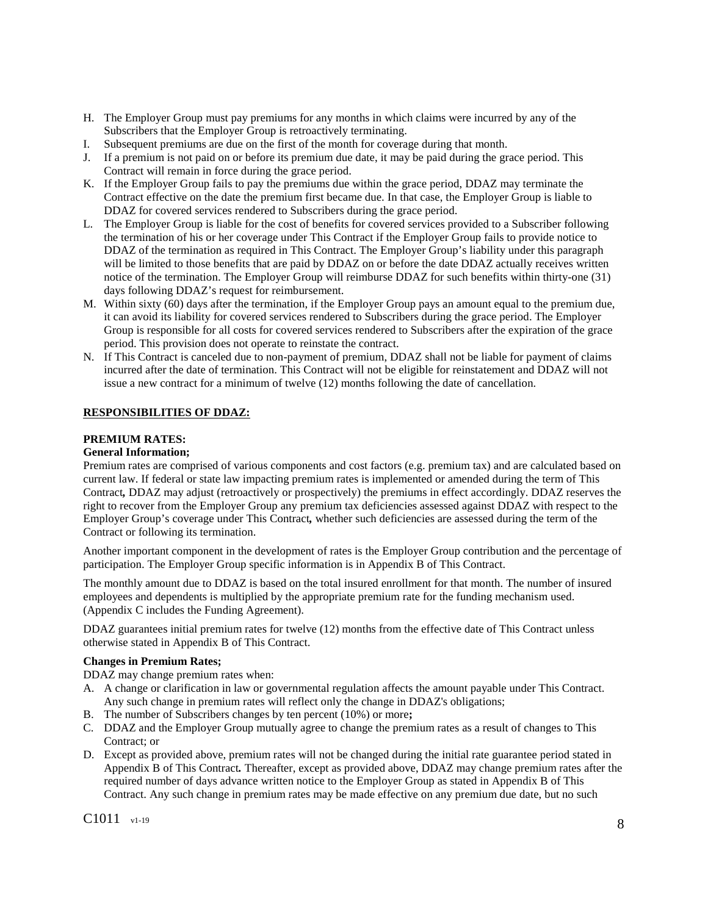- H. The Employer Group must pay premiums for any months in which claims were incurred by any of the Subscribers that the Employer Group is retroactively terminating.
- I. Subsequent premiums are due on the first of the month for coverage during that month.
- J. If a premium is not paid on or before its premium due date, it may be paid during the grace period. This Contract will remain in force during the grace period.
- K. If the Employer Group fails to pay the premiums due within the grace period, DDAZ may terminate the Contract effective on the date the premium first became due. In that case, the Employer Group is liable to DDAZ for covered services rendered to Subscribers during the grace period.
- L. The Employer Group is liable for the cost of benefits for covered services provided to a Subscriber following the termination of his or her coverage under This Contract if the Employer Group fails to provide notice to DDAZ of the termination as required in This Contract. The Employer Group's liability under this paragraph will be limited to those benefits that are paid by DDAZ on or before the date DDAZ actually receives written notice of the termination. The Employer Group will reimburse DDAZ for such benefits within thirty-one (31) days following DDAZ's request for reimbursement.
- M. Within sixty (60) days after the termination, if the Employer Group pays an amount equal to the premium due, it can avoid its liability for covered services rendered to Subscribers during the grace period. The Employer Group is responsible for all costs for covered services rendered to Subscribers after the expiration of the grace period. This provision does not operate to reinstate the contract.
- N. If This Contract is canceled due to non-payment of premium, DDAZ shall not be liable for payment of claims incurred after the date of termination. This Contract will not be eligible for reinstatement and DDAZ will not issue a new contract for a minimum of twelve (12) months following the date of cancellation.

## **RESPONSIBILITIES OF DDAZ:**

## **PREMIUM RATES:**

## **General Information;**

Premium rates are comprised of various components and cost factors (e.g. premium tax) and are calculated based on current law. If federal or state law impacting premium rates is implemented or amended during the term of This Contract*,* DDAZ may adjust (retroactively or prospectively) the premiums in effect accordingly. DDAZ reserves the right to recover from the Employer Group any premium tax deficiencies assessed against DDAZ with respect to the Employer Group's coverage under This Contract*,* whether such deficiencies are assessed during the term of the Contract or following its termination.

Another important component in the development of rates is the Employer Group contribution and the percentage of participation. The Employer Group specific information is in Appendix B of This Contract.

The monthly amount due to DDAZ is based on the total insured enrollment for that month. The number of insured employees and dependents is multiplied by the appropriate premium rate for the funding mechanism used. (Appendix C includes the Funding Agreement).

DDAZ guarantees initial premium rates for twelve (12) months from the effective date of This Contract unless otherwise stated in Appendix B of This Contract.

## **Changes in Premium Rates;**

DDAZ may change premium rates when:

- A. A change or clarification in law or governmental regulation affects the amount payable under This Contract. Any such change in premium rates will reflect only the change in DDAZ's obligations;
- B. The number of Subscribers changes by ten percent (10%) or more**;**
- C. DDAZ and the Employer Group mutually agree to change the premium rates as a result of changes to This Contract; or
- D. Except as provided above, premium rates will not be changed during the initial rate guarantee period stated in Appendix B of This Contract*.* Thereafter, except as provided above, DDAZ may change premium rates after the required number of days advance written notice to the Employer Group as stated in Appendix B of This Contract. Any such change in premium rates may be made effective on any premium due date, but no such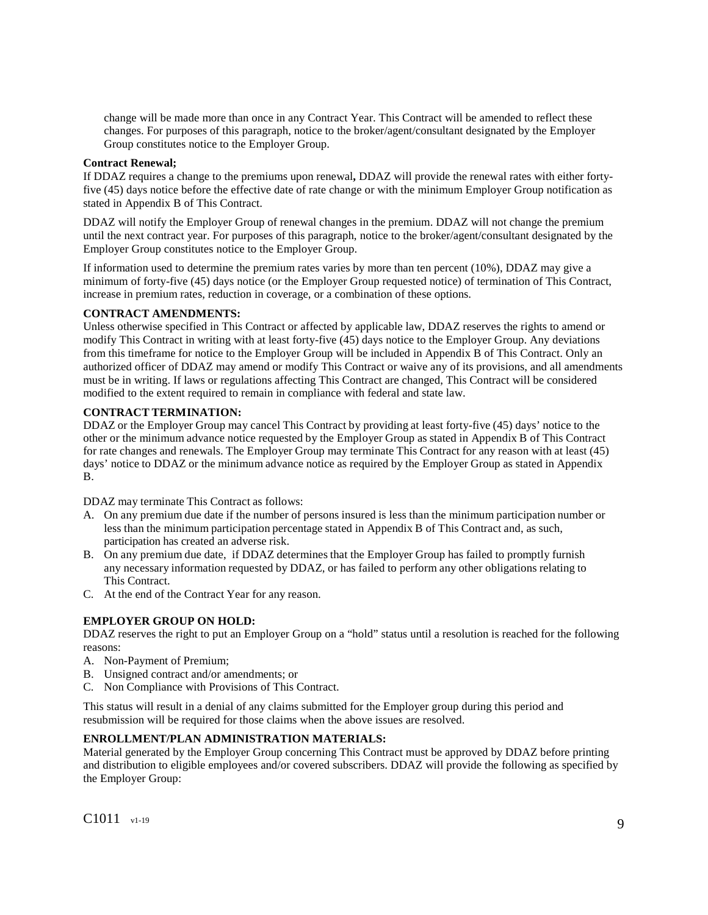change will be made more than once in any Contract Year. This Contract will be amended to reflect these changes. For purposes of this paragraph, notice to the broker/agent/consultant designated by the Employer Group constitutes notice to the Employer Group.

## **Contract Renewal;**

If DDAZ requires a change to the premiums upon renewal**,** DDAZ will provide the renewal rates with either fortyfive (45) days notice before the effective date of rate change or with the minimum Employer Group notification as stated in Appendix B of This Contract.

DDAZ will notify the Employer Group of renewal changes in the premium. DDAZ will not change the premium until the next contract year. For purposes of this paragraph, notice to the broker/agent/consultant designated by the Employer Group constitutes notice to the Employer Group.

If information used to determine the premium rates varies by more than ten percent (10%), DDAZ may give a minimum of forty-five (45) days notice (or the Employer Group requested notice) of termination of This Contract, increase in premium rates, reduction in coverage, or a combination of these options.

## **CONTRACT AMENDMENTS:**

Unless otherwise specified in This Contract or affected by applicable law, DDAZ reserves the rights to amend or modify This Contract in writing with at least forty-five (45) days notice to the Employer Group. Any deviations from this timeframe for notice to the Employer Group will be included in Appendix B of This Contract. Only an authorized officer of DDAZ may amend or modify This Contract or waive any of its provisions, and all amendments must be in writing. If laws or regulations affecting This Contract are changed, This Contract will be considered modified to the extent required to remain in compliance with federal and state law.

## **CONTRACT TERMINATION:**

DDAZ or the Employer Group may cancel This Contract by providing at least forty-five (45) days' notice to the other or the minimum advance notice requested by the Employer Group as stated in Appendix B of This Contract for rate changes and renewals. The Employer Group may terminate This Contract for any reason with at least (45) days' notice to DDAZ or the minimum advance notice as required by the Employer Group as stated in Appendix B.

DDAZ may terminate This Contract as follows:

- A. On any premium due date if the number of persons insured is less than the minimum participation number or less than the minimum participation percentage stated in Appendix B of This Contract and, as such, participation has created an adverse risk.
- B. On any premium due date, if DDAZ determines that the Employer Group has failed to promptly furnish any necessary information requested by DDAZ, or has failed to perform any other obligations relating to This Contract.
- C. At the end of the Contract Year for any reason.

## **EMPLOYER GROUP ON HOLD:**

DDAZ reserves the right to put an Employer Group on a "hold" status until a resolution is reached for the following reasons:

- A. Non-Payment of Premium;
- B. Unsigned contract and/or amendments; or
- C. Non Compliance with Provisions of This Contract.

This status will result in a denial of any claims submitted for the Employer group during this period and resubmission will be required for those claims when the above issues are resolved.

## **ENROLLMENT/PLAN ADMINISTRATION MATERIALS:**

Material generated by the Employer Group concerning This Contract must be approved by DDAZ before printing and distribution to eligible employees and/or covered subscribers. DDAZ will provide the following as specified by the Employer Group: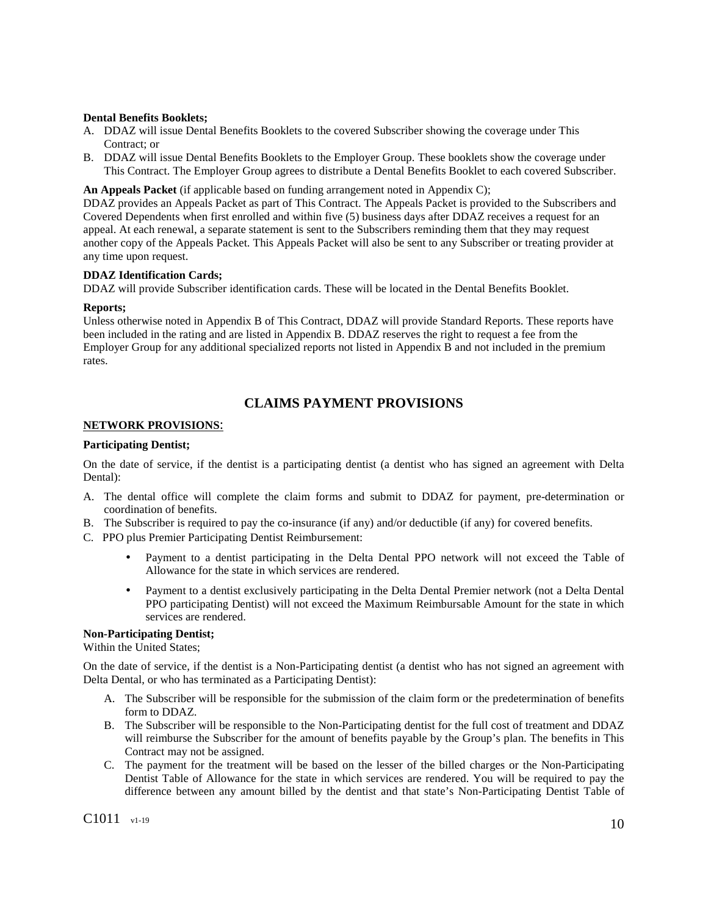#### **Dental Benefits Booklets;**

- A. DDAZ will issue Dental Benefits Booklets to the covered Subscriber showing the coverage under This Contract; or
- B. DDAZ will issue Dental Benefits Booklets to the Employer Group. These booklets show the coverage under This Contract. The Employer Group agrees to distribute a Dental Benefits Booklet to each covered Subscriber.

#### **An Appeals Packet** (if applicable based on funding arrangement noted in Appendix C);

DDAZ provides an Appeals Packet as part of This Contract. The Appeals Packet is provided to the Subscribers and Covered Dependents when first enrolled and within five (5) business days after DDAZ receives a request for an appeal. At each renewal, a separate statement is sent to the Subscribers reminding them that they may request another copy of the Appeals Packet. This Appeals Packet will also be sent to any Subscriber or treating provider at any time upon request.

## **DDAZ Identification Cards;**

DDAZ will provide Subscriber identification cards. These will be located in the Dental Benefits Booklet.

#### **Reports;**

Unless otherwise noted in Appendix B of This Contract*,* DDAZ will provide Standard Reports. These reports have been included in the rating and are listed in Appendix B. DDAZ reserves the right to request a fee from the Employer Group for any additional specialized reports not listed in Appendix B and not included in the premium rates.

## **CLAIMS PAYMENT PROVISIONS**

## **NETWORK PROVISIONS**:

## **Participating Dentist;**

On the date of service, if the dentist is a participating dentist (a dentist who has signed an agreement with Delta Dental):

- A. The dental office will complete the claim forms and submit to DDAZ for payment, pre-determination or coordination of benefits.
- B. The Subscriber is required to pay the co-insurance (if any) and/or deductible (if any) for covered benefits.
- C. PPO plus Premier Participating Dentist Reimbursement:
	- Payment to a dentist participating in the Delta Dental PPO network will not exceed the Table of Allowance for the state in which services are rendered.
	- Payment to a dentist exclusively participating in the Delta Dental Premier network (not a Delta Dental PPO participating Dentist) will not exceed the Maximum Reimbursable Amount for the state in which services are rendered.

#### **Non-Participating Dentist;**

Within the United States;

On the date of service, if the dentist is a Non-Participating dentist (a dentist who has not signed an agreement with Delta Dental, or who has terminated as a Participating Dentist):

- A. The Subscriber will be responsible for the submission of the claim form or the predetermination of benefits form to DDAZ.
- B. The Subscriber will be responsible to the Non-Participating dentist for the full cost of treatment and DDAZ will reimburse the Subscriber for the amount of benefits payable by the Group's plan. The benefits in This Contract may not be assigned.
- C. The payment for the treatment will be based on the lesser of the billed charges or the Non-Participating Dentist Table of Allowance for the state in which services are rendered. You will be required to pay the difference between any amount billed by the dentist and that state's Non-Participating Dentist Table of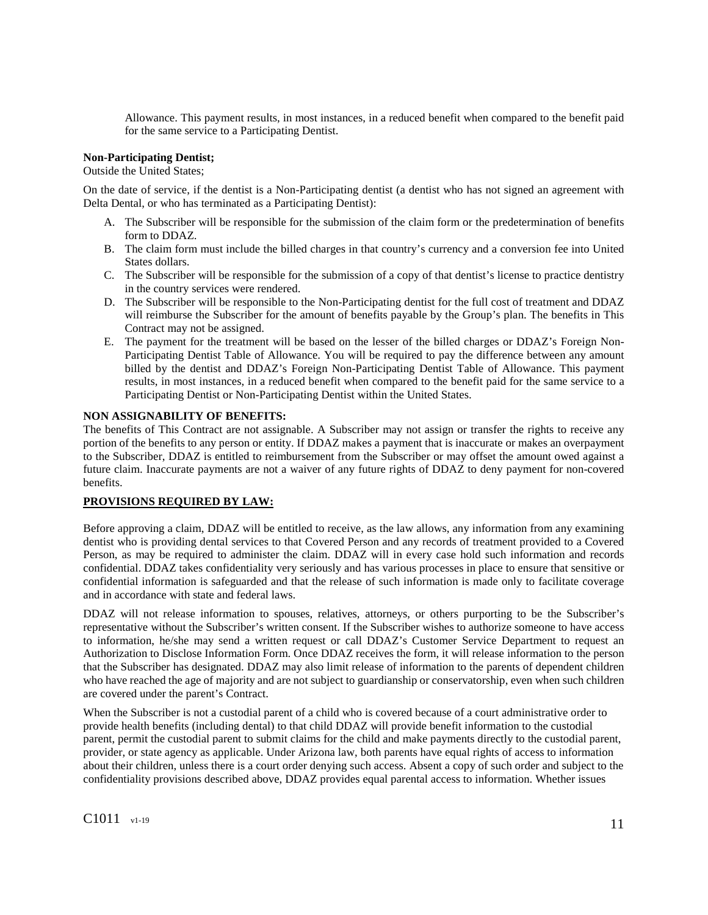Allowance. This payment results, in most instances, in a reduced benefit when compared to the benefit paid for the same service to a Participating Dentist.

## **Non-Participating Dentist;**

Outside the United States;

On the date of service, if the dentist is a Non-Participating dentist (a dentist who has not signed an agreement with Delta Dental, or who has terminated as a Participating Dentist):

- A. The Subscriber will be responsible for the submission of the claim form or the predetermination of benefits form to DDAZ.
- B. The claim form must include the billed charges in that country's currency and a conversion fee into United States dollars.
- C. The Subscriber will be responsible for the submission of a copy of that dentist's license to practice dentistry in the country services were rendered.
- D. The Subscriber will be responsible to the Non-Participating dentist for the full cost of treatment and DDAZ will reimburse the Subscriber for the amount of benefits payable by the Group's plan. The benefits in This Contract may not be assigned.
- E. The payment for the treatment will be based on the lesser of the billed charges or DDAZ's Foreign Non-Participating Dentist Table of Allowance. You will be required to pay the difference between any amount billed by the dentist and DDAZ's Foreign Non-Participating Dentist Table of Allowance. This payment results, in most instances, in a reduced benefit when compared to the benefit paid for the same service to a Participating Dentist or Non-Participating Dentist within the United States.

## **NON ASSIGNABILITY OF BENEFITS:**

The benefits of This Contract are not assignable. A Subscriber may not assign or transfer the rights to receive any portion of the benefits to any person or entity. If DDAZ makes a payment that is inaccurate or makes an overpayment to the Subscriber, DDAZ is entitled to reimbursement from the Subscriber or may offset the amount owed against a future claim. Inaccurate payments are not a waiver of any future rights of DDAZ to deny payment for non-covered benefits.

#### **PROVISIONS REQUIRED BY LAW:**

Before approving a claim, DDAZ will be entitled to receive, as the law allows, any information from any examining dentist who is providing dental services to that Covered Person and any records of treatment provided to a Covered Person, as may be required to administer the claim. DDAZ will in every case hold such information and records confidential. DDAZ takes confidentiality very seriously and has various processes in place to ensure that sensitive or confidential information is safeguarded and that the release of such information is made only to facilitate coverage and in accordance with state and federal laws.

DDAZ will not release information to spouses, relatives, attorneys, or others purporting to be the Subscriber's representative without the Subscriber's written consent. If the Subscriber wishes to authorize someone to have access to information, he/she may send a written request or call DDAZ's Customer Service Department to request an Authorization to Disclose Information Form. Once DDAZ receives the form, it will release information to the person that the Subscriber has designated. DDAZ may also limit release of information to the parents of dependent children who have reached the age of majority and are not subject to guardianship or conservatorship, even when such children are covered under the parent's Contract.

When the Subscriber is not a custodial parent of a child who is covered because of a court administrative order to provide health benefits (including dental) to that child DDAZ will provide benefit information to the custodial parent, permit the custodial parent to submit claims for the child and make payments directly to the custodial parent, provider, or state agency as applicable. Under Arizona law, both parents have equal rights of access to information about their children, unless there is a court order denying such access. Absent a copy of such order and subject to the confidentiality provisions described above, DDAZ provides equal parental access to information. Whether issues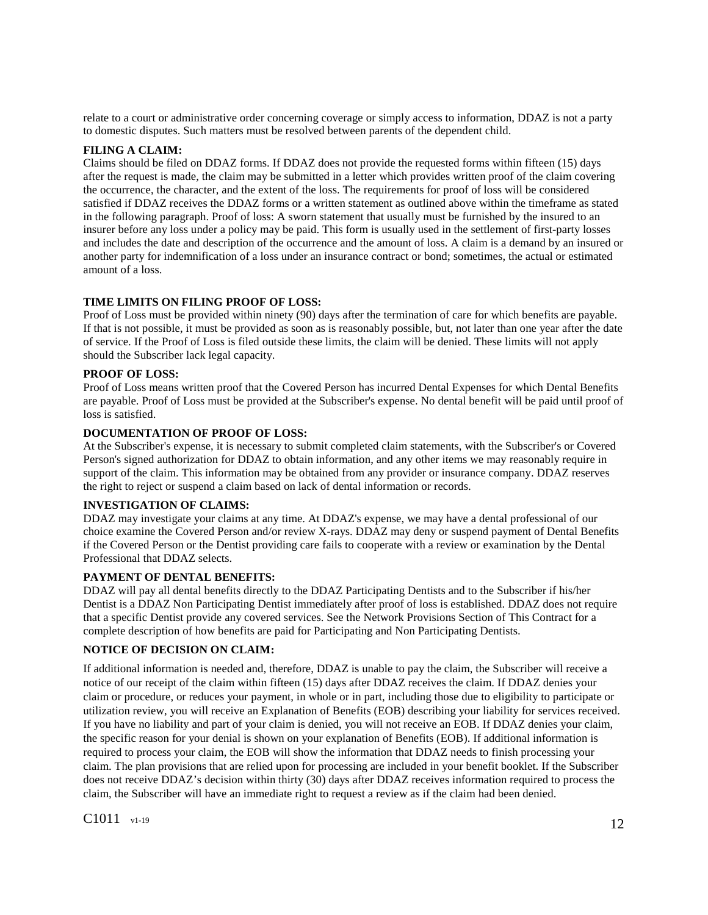relate to a court or administrative order concerning coverage or simply access to information, DDAZ is not a party to domestic disputes. Such matters must be resolved between parents of the dependent child.

#### **FILING A CLAIM:**

Claims should be filed on DDAZ forms. If DDAZ does not provide the requested forms within fifteen (15) days after the request is made, the claim may be submitted in a letter which provides written proof of the claim covering the occurrence, the character, and the extent of the loss. The requirements for proof of loss will be considered satisfied if DDAZ receives the DDAZ forms or a written statement as outlined above within the timeframe as stated in the following paragraph. Proof of loss: A sworn statement that usually must be furnished by the insured to an insurer before any loss under a policy may be paid. This form is usually used in the settlement of first-party losses and includes the date and description of the occurrence and the amount of loss. A claim is a demand by an insured or another party for indemnification of a loss under an insurance contract or bond; sometimes, the actual or estimated amount of a loss.

## **TIME LIMITS ON FILING PROOF OF LOSS:**

Proof of Loss must be provided within ninety (90) days after the termination of care for which benefits are payable. If that is not possible, it must be provided as soon as is reasonably possible, but, not later than one year after the date of service. If the Proof of Loss is filed outside these limits, the claim will be denied. These limits will not apply should the Subscriber lack legal capacity.

#### **PROOF OF LOSS:**

Proof of Loss means written proof that the Covered Person has incurred Dental Expenses for which Dental Benefits are payable. Proof of Loss must be provided at the Subscriber's expense. No dental benefit will be paid until proof of loss is satisfied.

## **DOCUMENTATION OF PROOF OF LOSS:**

At the Subscriber's expense, it is necessary to submit completed claim statements, with the Subscriber's or Covered Person's signed authorization for DDAZ to obtain information, and any other items we may reasonably require in support of the claim. This information may be obtained from any provider or insurance company. DDAZ reserves the right to reject or suspend a claim based on lack of dental information or records.

#### **INVESTIGATION OF CLAIMS:**

DDAZ may investigate your claims at any time. At DDAZ's expense, we may have a dental professional of our choice examine the Covered Person and/or review X-rays. DDAZ may deny or suspend payment of Dental Benefits if the Covered Person or the Dentist providing care fails to cooperate with a review or examination by the Dental Professional that DDAZ selects.

#### **PAYMENT OF DENTAL BENEFITS:**

DDAZ will pay all dental benefits directly to the DDAZ Participating Dentists and to the Subscriber if his/her Dentist is a DDAZ Non Participating Dentist immediately after proof of loss is established. DDAZ does not require that a specific Dentist provide any covered services. See the Network Provisions Section of This Contract for a complete description of how benefits are paid for Participating and Non Participating Dentists.

## **NOTICE OF DECISION ON CLAIM:**

If additional information is needed and, therefore, DDAZ is unable to pay the claim, the Subscriber will receive a notice of our receipt of the claim within fifteen (15) days after DDAZ receives the claim. If DDAZ denies your claim or procedure, or reduces your payment, in whole or in part, including those due to eligibility to participate or utilization review, you will receive an Explanation of Benefits (EOB) describing your liability for services received. If you have no liability and part of your claim is denied, you will not receive an EOB. If DDAZ denies your claim, the specific reason for your denial is shown on your explanation of Benefits (EOB). If additional information is required to process your claim, the EOB will show the information that DDAZ needs to finish processing your claim. The plan provisions that are relied upon for processing are included in your benefit booklet. If the Subscriber does not receive DDAZ's decision within thirty (30) days after DDAZ receives information required to process the claim, the Subscriber will have an immediate right to request a review as if the claim had been denied.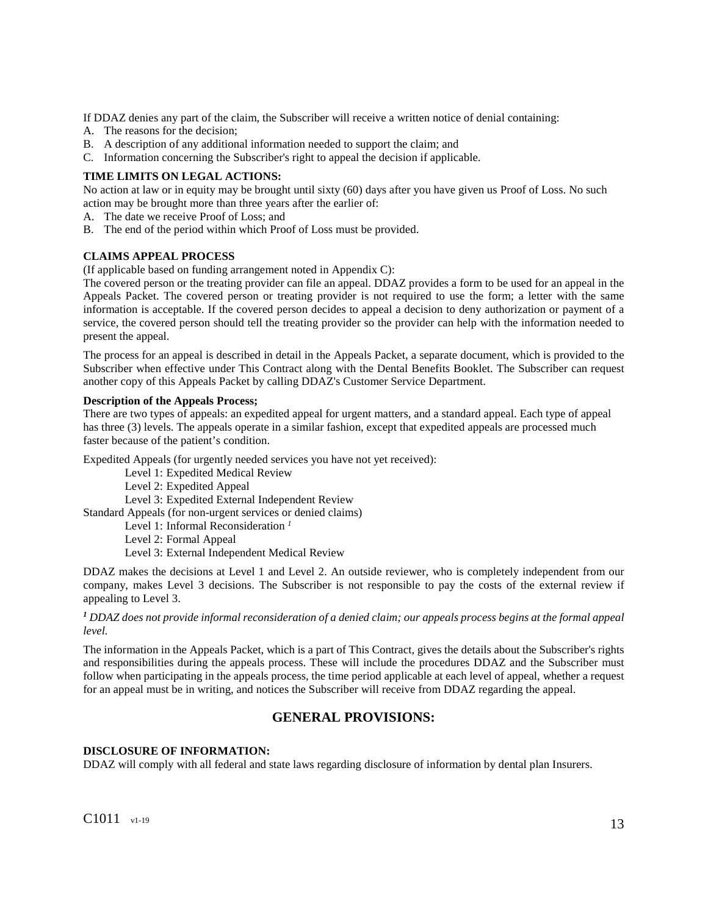If DDAZ denies any part of the claim, the Subscriber will receive a written notice of denial containing:

- A. The reasons for the decision;
- B. A description of any additional information needed to support the claim; and
- C. Information concerning the Subscriber's right to appeal the decision if applicable.

## **TIME LIMITS ON LEGAL ACTIONS:**

No action at law or in equity may be brought until sixty (60) days after you have given us Proof of Loss. No such action may be brought more than three years after the earlier of:

- A. The date we receive Proof of Loss; and
- B. The end of the period within which Proof of Loss must be provided.

## **CLAIMS APPEAL PROCESS**

(If applicable based on funding arrangement noted in Appendix C):

The covered person or the treating provider can file an appeal. DDAZ provides a form to be used for an appeal in the Appeals Packet. The covered person or treating provider is not required to use the form; a letter with the same information is acceptable. If the covered person decides to appeal a decision to deny authorization or payment of a service, the covered person should tell the treating provider so the provider can help with the information needed to present the appeal.

The process for an appeal is described in detail in the Appeals Packet, a separate document, which is provided to the Subscriber when effective under This Contract along with the Dental Benefits Booklet. The Subscriber can request another copy of this Appeals Packet by calling DDAZ's Customer Service Department.

## **Description of the Appeals Process;**

There are two types of appeals: an expedited appeal for urgent matters, and a standard appeal. Each type of appeal has three (3) levels. The appeals operate in a similar fashion, except that expedited appeals are processed much faster because of the patient's condition.

Expedited Appeals (for urgently needed services you have not yet received):

Level 1: Expedited Medical Review

Level 2: Expedited Appeal

Level 3: Expedited External Independent Review

Standard Appeals (for non-urgent services or denied claims)

Level 1: Informal Reconsideration *<sup>1</sup>*

Level 2: Formal Appeal

Level 3: External Independent Medical Review

DDAZ makes the decisions at Level 1 and Level 2. An outside reviewer, who is completely independent from our company, makes Level 3 decisions. The Subscriber is not responsible to pay the costs of the external review if appealing to Level 3.

## <sup>1</sup> DDAZ does not provide informal reconsideration of a denied claim; our appeals process begins at the formal appeal *level.*

The information in the Appeals Packet, which is a part of This Contract, gives the details about the Subscriber's rights and responsibilities during the appeals process. These will include the procedures DDAZ and the Subscriber must follow when participating in the appeals process, the time period applicable at each level of appeal, whether a request for an appeal must be in writing, and notices the Subscriber will receive from DDAZ regarding the appeal.

# **GENERAL PROVISIONS:**

## **DISCLOSURE OF INFORMATION:**

DDAZ will comply with all federal and state laws regarding disclosure of information by dental plan Insurers.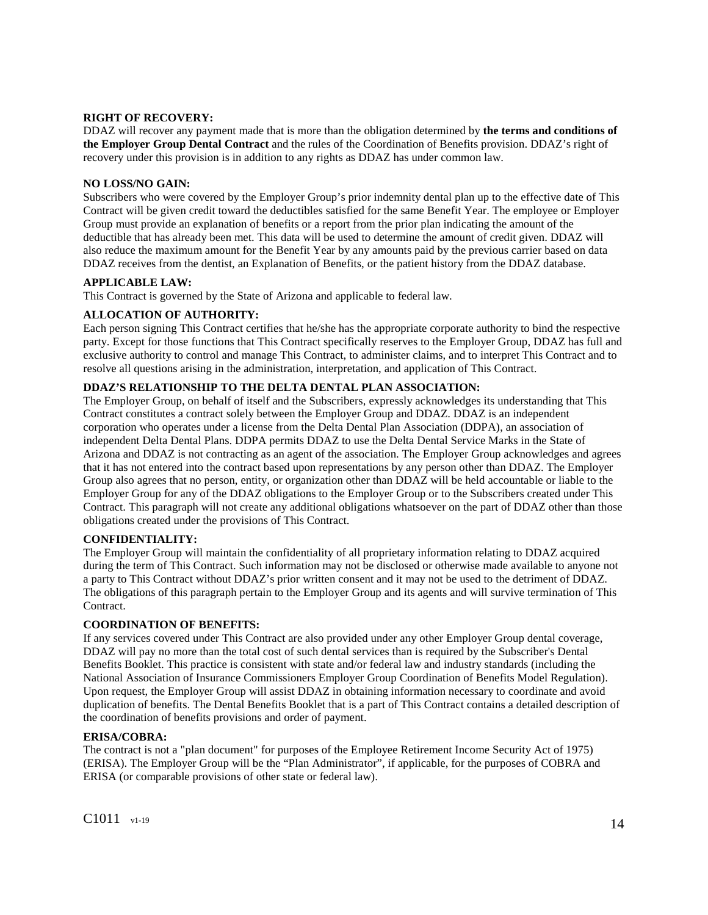## **RIGHT OF RECOVERY:**

DDAZ will recover any payment made that is more than the obligation determined by **the terms and conditions of the Employer Group Dental Contract** and the rules of the Coordination of Benefits provision. DDAZ's right of recovery under this provision is in addition to any rights as DDAZ has under common law.

## **NO LOSS/NO GAIN:**

Subscribers who were covered by the Employer Group's prior indemnity dental plan up to the effective date of This Contract will be given credit toward the deductibles satisfied for the same Benefit Year. The employee or Employer Group must provide an explanation of benefits or a report from the prior plan indicating the amount of the deductible that has already been met. This data will be used to determine the amount of credit given. DDAZ will also reduce the maximum amount for the Benefit Year by any amounts paid by the previous carrier based on data DDAZ receives from the dentist, an Explanation of Benefits, or the patient history from the DDAZ database.

## **APPLICABLE LAW:**

This Contract is governed by the State of Arizona and applicable to federal law.

## **ALLOCATION OF AUTHORITY:**

Each person signing This Contract certifies that he/she has the appropriate corporate authority to bind the respective party. Except for those functions that This Contract specifically reserves to the Employer Group, DDAZ has full and exclusive authority to control and manage This Contract, to administer claims, and to interpret This Contract and to resolve all questions arising in the administration, interpretation, and application of This Contract.

## **DDAZ'S RELATIONSHIP TO THE DELTA DENTAL PLAN ASSOCIATION:**

The Employer Group, on behalf of itself and the Subscribers, expressly acknowledges its understanding that This Contract constitutes a contract solely between the Employer Group and DDAZ. DDAZ is an independent corporation who operates under a license from the Delta Dental Plan Association (DDPA), an association of independent Delta Dental Plans. DDPA permits DDAZ to use the Delta Dental Service Marks in the State of Arizona and DDAZ is not contracting as an agent of the association. The Employer Group acknowledges and agrees that it has not entered into the contract based upon representations by any person other than DDAZ. The Employer Group also agrees that no person, entity, or organization other than DDAZ will be held accountable or liable to the Employer Group for any of the DDAZ obligations to the Employer Group or to the Subscribers created under This Contract. This paragraph will not create any additional obligations whatsoever on the part of DDAZ other than those obligations created under the provisions of This Contract.

#### **CONFIDENTIALITY:**

The Employer Group will maintain the confidentiality of all proprietary information relating to DDAZ acquired during the term of This Contract. Such information may not be disclosed or otherwise made available to anyone not a party to This Contract without DDAZ's prior written consent and it may not be used to the detriment of DDAZ. The obligations of this paragraph pertain to the Employer Group and its agents and will survive termination of This Contract.

#### **COORDINATION OF BENEFITS:**

If any services covered under This Contract are also provided under any other Employer Group dental coverage, DDAZ will pay no more than the total cost of such dental services than is required by the Subscriber's Dental Benefits Booklet. This practice is consistent with state and/or federal law and industry standards (including the National Association of Insurance Commissioners Employer Group Coordination of Benefits Model Regulation). Upon request, the Employer Group will assist DDAZ in obtaining information necessary to coordinate and avoid duplication of benefits. The Dental Benefits Booklet that is a part of This Contract contains a detailed description of the coordination of benefits provisions and order of payment.

#### **ERISA/COBRA:**

The contract is not a "plan document" for purposes of the Employee Retirement Income Security Act of 1975) (ERISA). The Employer Group will be the "Plan Administrator", if applicable, for the purposes of COBRA and ERISA (or comparable provisions of other state or federal law).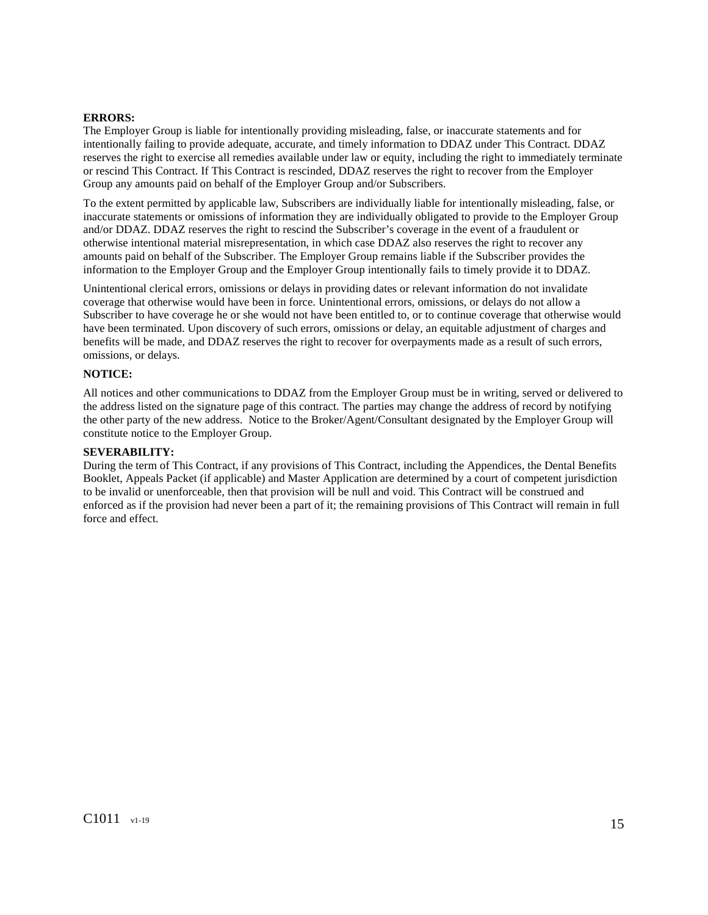#### **ERRORS:**

The Employer Group is liable for intentionally providing misleading, false, or inaccurate statements and for intentionally failing to provide adequate, accurate, and timely information to DDAZ under This Contract. DDAZ reserves the right to exercise all remedies available under law or equity, including the right to immediately terminate or rescind This Contract. If This Contract is rescinded, DDAZ reserves the right to recover from the Employer Group any amounts paid on behalf of the Employer Group and/or Subscribers.

To the extent permitted by applicable law, Subscribers are individually liable for intentionally misleading, false, or inaccurate statements or omissions of information they are individually obligated to provide to the Employer Group and/or DDAZ. DDAZ reserves the right to rescind the Subscriber's coverage in the event of a fraudulent or otherwise intentional material misrepresentation, in which case DDAZ also reserves the right to recover any amounts paid on behalf of the Subscriber. The Employer Group remains liable if the Subscriber provides the information to the Employer Group and the Employer Group intentionally fails to timely provide it to DDAZ.

Unintentional clerical errors, omissions or delays in providing dates or relevant information do not invalidate coverage that otherwise would have been in force. Unintentional errors, omissions, or delays do not allow a Subscriber to have coverage he or she would not have been entitled to, or to continue coverage that otherwise would have been terminated. Upon discovery of such errors, omissions or delay, an equitable adjustment of charges and benefits will be made, and DDAZ reserves the right to recover for overpayments made as a result of such errors, omissions, or delays.

#### **NOTICE:**

All notices and other communications to DDAZ from the Employer Group must be in writing, served or delivered to the address listed on the signature page of this contract. The parties may change the address of record by notifying the other party of the new address. Notice to the Broker/Agent/Consultant designated by the Employer Group will constitute notice to the Employer Group.

## **SEVERABILITY:**

During the term of This Contract, if any provisions of This Contract, including the Appendices, the Dental Benefits Booklet, Appeals Packet (if applicable) and Master Application are determined by a court of competent jurisdiction to be invalid or unenforceable, then that provision will be null and void. This Contract will be construed and enforced as if the provision had never been a part of it; the remaining provisions of This Contract will remain in full force and effect.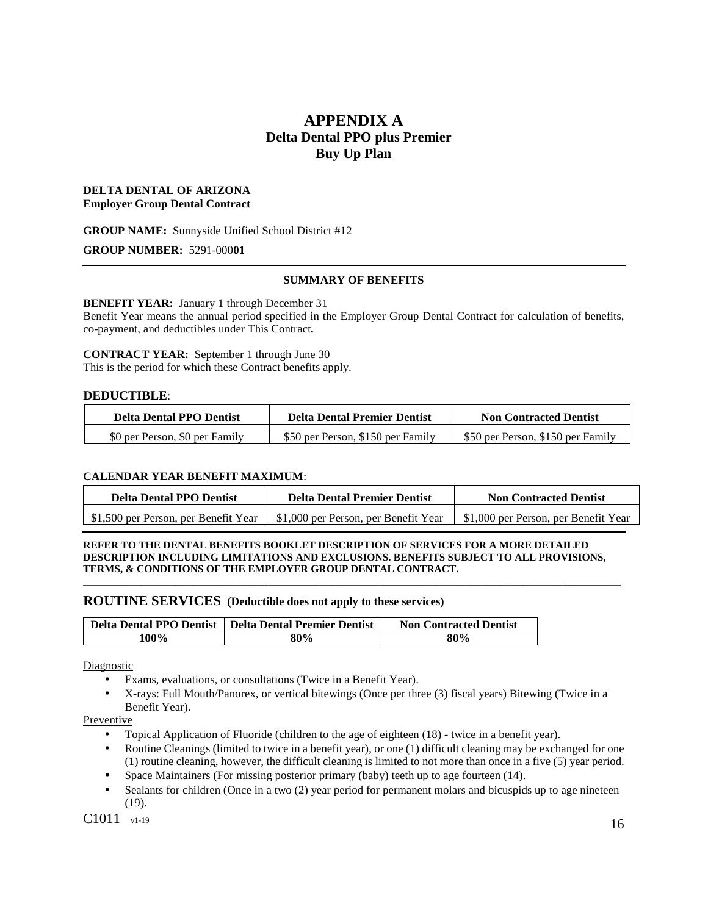# **APPENDIX A Delta Dental PPO plus Premier Buy Up Plan**

## **DELTA DENTAL OF ARIZONA Employer Group Dental Contract**

## **GROUP NAME:** Sunnyside Unified School District #12

## **GROUP NUMBER:** 5291-000**01**

## **SUMMARY OF BENEFITS**

## **BENEFIT YEAR:** January 1 through December 31

Benefit Year means the annual period specified in the Employer Group Dental Contract for calculation of benefits, co-payment, and deductibles under This Contract*.*

## **CONTRACT YEAR:** September 1 through June 30

This is the period for which these Contract benefits apply.

## **DEDUCTIBLE**:

| <b>Delta Dental PPO Dentist</b> | <b>Delta Dental Premier Dentist</b> | <b>Non Contracted Dentist</b>     |
|---------------------------------|-------------------------------------|-----------------------------------|
| \$0 per Person, \$0 per Family  | \$50 per Person, \$150 per Family   | \$50 per Person, \$150 per Family |

## **CALENDAR YEAR BENEFIT MAXIMUM**:

| <b>Delta Dental PPO Dentist</b>      | <b>Delta Dental Premier Dentist</b>  | <b>Non Contracted Dentist</b>        |
|--------------------------------------|--------------------------------------|--------------------------------------|
| \$1,500 per Person, per Benefit Year | \$1,000 per Person, per Benefit Year | \$1,000 per Person, per Benefit Year |

#### **REFER TO THE DENTAL BENEFITS BOOKLET DESCRIPTION OF SERVICES FOR A MORE DETAILED DESCRIPTION INCLUDING LIMITATIONS AND EXCLUSIONS. BENEFITS SUBJECT TO ALL PROVISIONS, TERMS, & CONDITIONS OF THE EMPLOYER GROUP DENTAL CONTRACT.**

**\_\_\_\_\_\_\_\_\_\_\_\_\_\_\_\_\_\_\_\_\_\_\_\_\_\_\_\_\_\_\_\_\_\_\_\_\_\_\_\_\_\_\_\_\_\_\_\_\_\_\_\_\_\_\_\_\_\_\_\_\_\_\_\_\_\_\_\_\_\_\_\_\_\_\_\_\_\_\_\_\_\_\_\_\_\_\_\_\_\_\_\_\_** 

## **ROUTINE SERVICES (Deductible does not apply to these services)**

|      | Delta Dental PPO Dentist   Delta Dental Premier Dentist | <b>Non Contracted Dentist</b> |
|------|---------------------------------------------------------|-------------------------------|
| 100% | 80%                                                     | 80%                           |

**Diagnostic** 

- Exams, evaluations, or consultations (Twice in a Benefit Year).
- X-rays: Full Mouth/Panorex, or vertical bitewings (Once per three (3) fiscal years) Bitewing (Twice in a Benefit Year).

Preventive

- Topical Application of Fluoride (children to the age of eighteen (18) twice in a benefit year).
- Routine Cleanings (limited to twice in a benefit year), or one (1) difficult cleaning may be exchanged for one (1) routine cleaning, however, the difficult cleaning is limited to not more than once in a five (5) year period.
- Space Maintainers (For missing posterior primary (baby) teeth up to age fourteen (14).
- Sealants for children (Once in a two (2) year period for permanent molars and bicuspids up to age nineteen  $(19)$ .

C1011  $_{\rm v1-19}$  16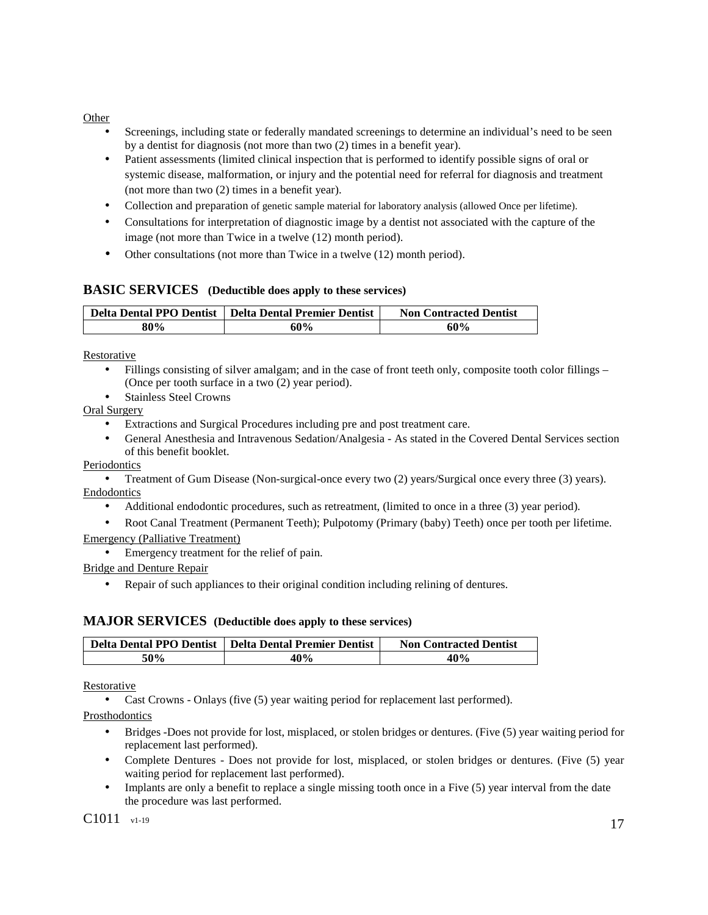## Other

- Screenings, including state or federally mandated screenings to determine an individual's need to be seen by a dentist for diagnosis (not more than two (2) times in a benefit year).
- Patient assessments (limited clinical inspection that is performed to identify possible signs of oral or systemic disease, malformation, or injury and the potential need for referral for diagnosis and treatment (not more than two (2) times in a benefit year).
- Collection and preparation of genetic sample material for laboratory analysis (allowed Once per lifetime).
- Consultations for interpretation of diagnostic image by a dentist not associated with the capture of the image (not more than Twice in a twelve (12) month period).
- Other consultations (not more than Twice in a twelve (12) month period).

## **BASIC SERVICES (Deductible does apply to these services)**

|     | Delta Dental PPO Dentist   Delta Dental Premier Dentist | <b>Non Contracted Dentist</b> |
|-----|---------------------------------------------------------|-------------------------------|
| 80% | 60%                                                     | 60%                           |

Restorative

- Fillings consisting of silver amalgam; and in the case of front teeth only, composite tooth color fillings (Once per tooth surface in a two (2) year period).
- Stainless Steel Crowns

Oral Surgery

- Extractions and Surgical Procedures including pre and post treatment care.
- General Anesthesia and Intravenous Sedation/Analgesia As stated in the Covered Dental Services section of this benefit booklet.

## Periodontics

• Treatment of Gum Disease (Non-surgical-once every two (2) years/Surgical once every three (3) years). Endodontics

• Additional endodontic procedures, such as retreatment, (limited to once in a three (3) year period).

• Root Canal Treatment (Permanent Teeth); Pulpotomy (Primary (baby) Teeth) once per tooth per lifetime. Emergency (Palliative Treatment)

• Emergency treatment for the relief of pain.

Bridge and Denture Repair

Repair of such appliances to their original condition including relining of dentures.

## **MAJOR SERVICES (Deductible does apply to these services)**

|     | Delta Dental PPO Dentist   Delta Dental Premier Dentist | <b>Non Contracted Dentist</b> |
|-----|---------------------------------------------------------|-------------------------------|
| 50% | 40%                                                     | 40%                           |

Restorative

• Cast Crowns - Onlays (five (5) year waiting period for replacement last performed).

Prosthodontics

- Bridges -Does not provide for lost, misplaced, or stolen bridges or dentures. (Five (5) year waiting period for replacement last performed).
- Complete Dentures Does not provide for lost, misplaced, or stolen bridges or dentures. (Five (5) year waiting period for replacement last performed).
- Implants are only a benefit to replace a single missing tooth once in a Five (5) year interval from the date the procedure was last performed.

C1011  $_{\rm v1-19}$  17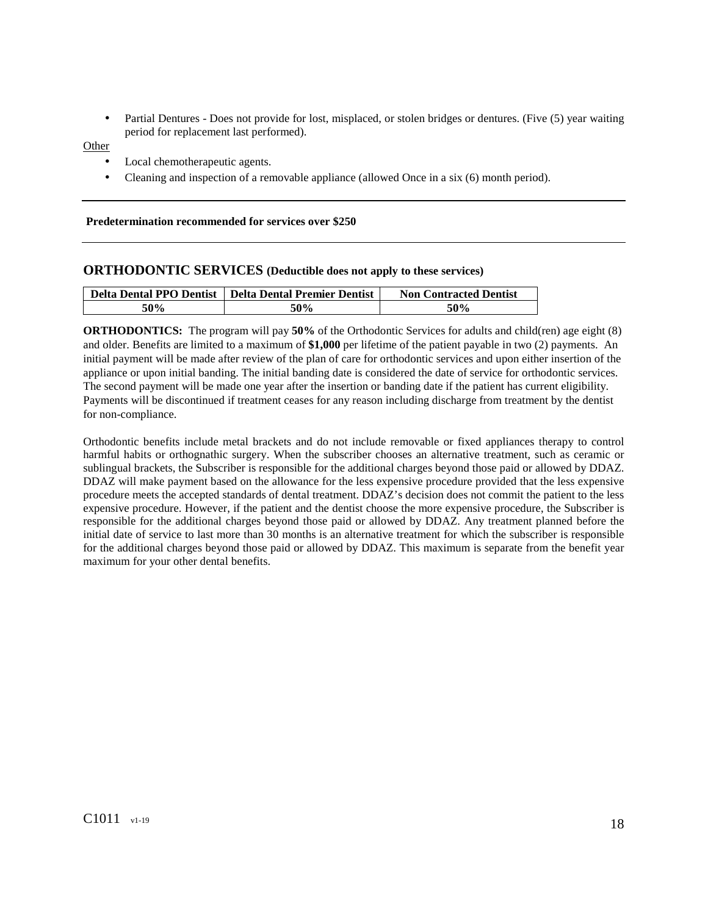• Partial Dentures - Does not provide for lost, misplaced, or stolen bridges or dentures. (Five (5) year waiting period for replacement last performed).

Other

- Local chemotherapeutic agents.
- Cleaning and inspection of a removable appliance (allowed Once in a six (6) month period).

#### **Predetermination recommended for services over \$250**

## **ORTHODONTIC SERVICES (Deductible does not apply to these services)**

| <b>Delta Dental PPO Dentist</b> | <sup>1</sup> Delta Dental Premier Dentist | <b>Non Contracted Dentist</b> |
|---------------------------------|-------------------------------------------|-------------------------------|
| 50%                             | 50%                                       | 50%                           |

**ORTHODONTICS:** The program will pay 50% of the Orthodontic Services for adults and child(ren) age eight (8) and older. Benefits are limited to a maximum of **\$1,000** per lifetime of the patient payable in two (2) payments. An initial payment will be made after review of the plan of care for orthodontic services and upon either insertion of the appliance or upon initial banding. The initial banding date is considered the date of service for orthodontic services. The second payment will be made one year after the insertion or banding date if the patient has current eligibility. Payments will be discontinued if treatment ceases for any reason including discharge from treatment by the dentist for non-compliance.

Orthodontic benefits include metal brackets and do not include removable or fixed appliances therapy to control harmful habits or orthognathic surgery. When the subscriber chooses an alternative treatment, such as ceramic or sublingual brackets, the Subscriber is responsible for the additional charges beyond those paid or allowed by DDAZ. DDAZ will make payment based on the allowance for the less expensive procedure provided that the less expensive procedure meets the accepted standards of dental treatment. DDAZ's decision does not commit the patient to the less expensive procedure. However, if the patient and the dentist choose the more expensive procedure, the Subscriber is responsible for the additional charges beyond those paid or allowed by DDAZ. Any treatment planned before the initial date of service to last more than 30 months is an alternative treatment for which the subscriber is responsible for the additional charges beyond those paid or allowed by DDAZ. This maximum is separate from the benefit year maximum for your other dental benefits.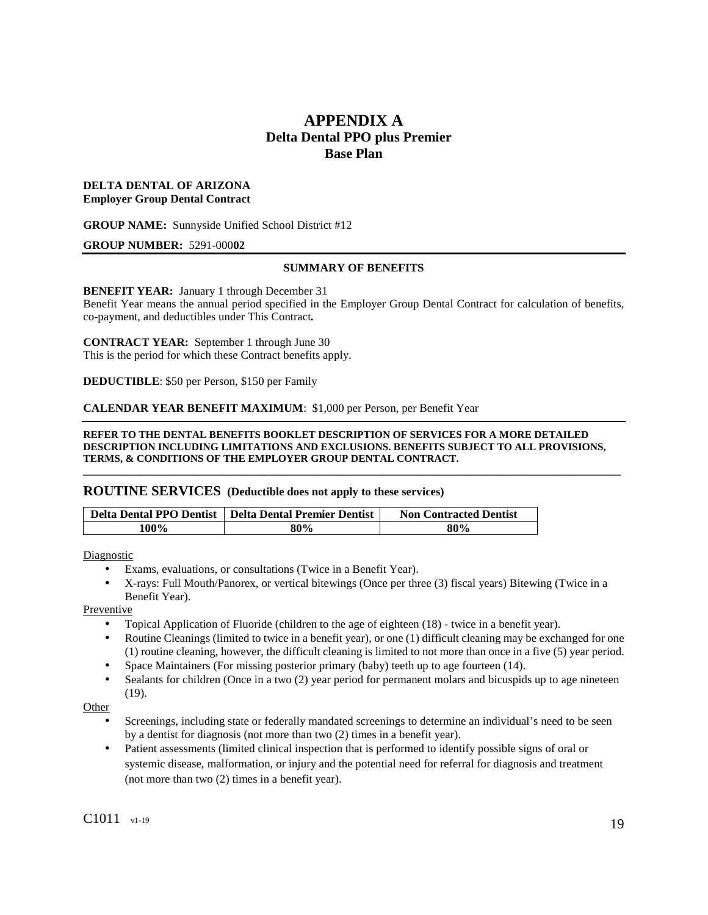# **APPENDIX A Delta Dental PPO plus Premier Base Plan**

## **DELTA DENTAL OF ARIZONA Employer Group Dental Contract**

**GROUP NAME:** Sunnyside Unified School District #12

#### **GROUP NUMBER:** 5291-000**02**

## **SUMMARY OF BENEFITS**

**BENEFIT YEAR:** January 1 through December 31

Benefit Year means the annual period specified in the Employer Group Dental Contract for calculation of benefits, co-payment, and deductibles under This Contract*.*

**CONTRACT YEAR:** September 1 through June 30 This is the period for which these Contract benefits apply.

**DEDUCTIBLE**: \$50 per Person, \$150 per Family

**CALENDAR YEAR BENEFIT MAXIMUM**: \$1,000 per Person, per Benefit Year

**REFER TO THE DENTAL BENEFITS BOOKLET DESCRIPTION OF SERVICES FOR A MORE DETAILED DESCRIPTION INCLUDING LIMITATIONS AND EXCLUSIONS. BENEFITS SUBJECT TO ALL PROVISIONS, TERMS, & CONDITIONS OF THE EMPLOYER GROUP DENTAL CONTRACT.**

**\_\_\_\_\_\_\_\_\_\_\_\_\_\_\_\_\_\_\_\_\_\_\_\_\_\_\_\_\_\_\_\_\_\_\_\_\_\_\_\_\_\_\_\_\_\_\_\_\_\_\_\_\_\_\_\_\_\_\_\_\_\_\_\_\_\_\_\_\_\_\_\_\_\_\_\_\_\_\_\_\_\_\_\_\_\_\_\_\_\_\_\_\_** 

#### **ROUTINE SERVICES (Deductible does not apply to these services)**

|      | Delta Dental PPO Dentist   Delta Dental Premier Dentist | <b>Non Contracted Dentist</b> |
|------|---------------------------------------------------------|-------------------------------|
| 100% | 80%                                                     | 80%                           |

Diagnostic

- Exams, evaluations, or consultations (Twice in a Benefit Year).
- X-rays: Full Mouth/Panorex, or vertical bitewings (Once per three (3) fiscal years) Bitewing (Twice in a Benefit Year).

Preventive

- Topical Application of Fluoride (children to the age of eighteen (18) twice in a benefit year).
- Routine Cleanings (limited to twice in a benefit year), or one (1) difficult cleaning may be exchanged for one (1) routine cleaning, however, the difficult cleaning is limited to not more than once in a five (5) year period.
- Space Maintainers (For missing posterior primary (baby) teeth up to age fourteen (14).
- Sealants for children (Once in a two (2) year period for permanent molars and bicuspids up to age nineteen (19).

Other

- Screenings, including state or federally mandated screenings to determine an individual's need to be seen by a dentist for diagnosis (not more than two (2) times in a benefit year).
- Patient assessments (limited clinical inspection that is performed to identify possible signs of oral or systemic disease, malformation, or injury and the potential need for referral for diagnosis and treatment (not more than two (2) times in a benefit year).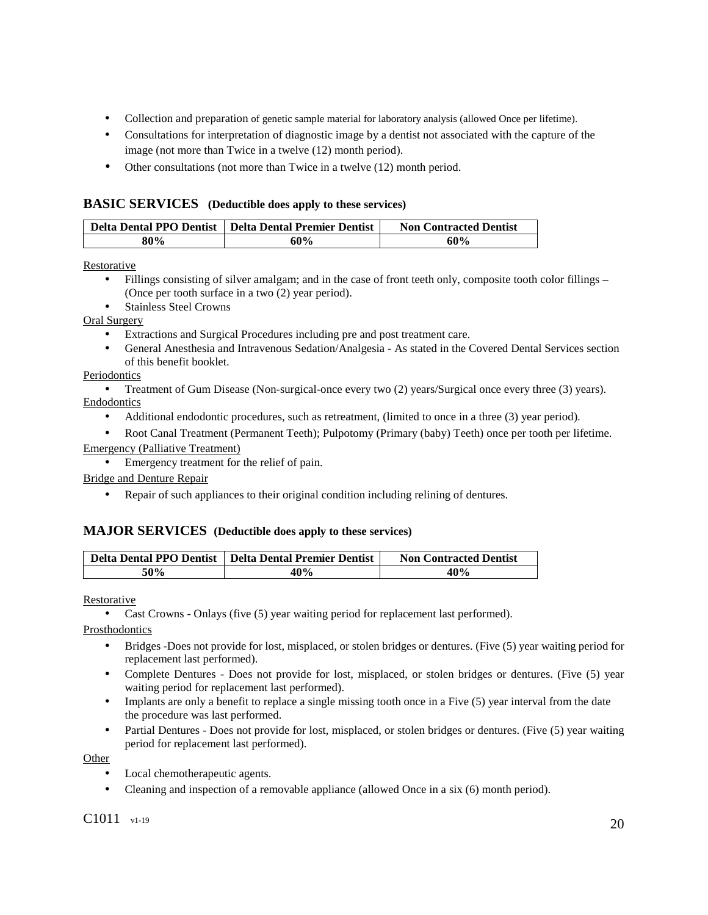- Collection and preparation of genetic sample material for laboratory analysis (allowed Once per lifetime).
- Consultations for interpretation of diagnostic image by a dentist not associated with the capture of the image (not more than Twice in a twelve (12) month period).
- Other consultations (not more than Twice in a twelve (12) month period.

## **BASIC SERVICES (Deductible does apply to these services)**

|     | Delta Dental PPO Dentist   Delta Dental Premier Dentist | <b>Non Contracted Dentist</b> |
|-----|---------------------------------------------------------|-------------------------------|
| 80% | 60%                                                     | 60%                           |

Restorative

- Fillings consisting of silver amalgam; and in the case of front teeth only, composite tooth color fillings (Once per tooth surface in a two (2) year period).
- Stainless Steel Crowns

Oral Surgery

- Extractions and Surgical Procedures including pre and post treatment care.
- General Anesthesia and Intravenous Sedation/Analgesia As stated in the Covered Dental Services section of this benefit booklet.

## Periodontics

- Treatment of Gum Disease (Non-surgical-once every two (2) years/Surgical once every three (3) years). **Endodontics** 
	- Additional endodontic procedures, such as retreatment, (limited to once in a three (3) year period).
- Root Canal Treatment (Permanent Teeth); Pulpotomy (Primary (baby) Teeth) once per tooth per lifetime. Emergency (Palliative Treatment)
	- Emergency treatment for the relief of pain.

Bridge and Denture Repair

• Repair of such appliances to their original condition including relining of dentures.

# **MAJOR SERVICES (Deductible does apply to these services)**

| <b>Delta Dental PPO Dentist</b> | Delta Dental Premier Dentist | <b>Non Contracted Dentist</b> |
|---------------------------------|------------------------------|-------------------------------|
| 50%                             | 40%                          | 40%                           |

Restorative

• Cast Crowns - Onlays (five (5) year waiting period for replacement last performed).

Prosthodontics

- Bridges -Does not provide for lost, misplaced, or stolen bridges or dentures. (Five (5) year waiting period for replacement last performed).
- Complete Dentures Does not provide for lost, misplaced, or stolen bridges or dentures. (Five (5) year waiting period for replacement last performed).
- Implants are only a benefit to replace a single missing tooth once in a Five (5) year interval from the date the procedure was last performed.
- Partial Dentures Does not provide for lost, misplaced, or stolen bridges or dentures. (Five (5) year waiting period for replacement last performed).

Other

- Local chemotherapeutic agents.
- Cleaning and inspection of a removable appliance (allowed Once in a six (6) month period).

C1011  $_{\rm v1-19}$  20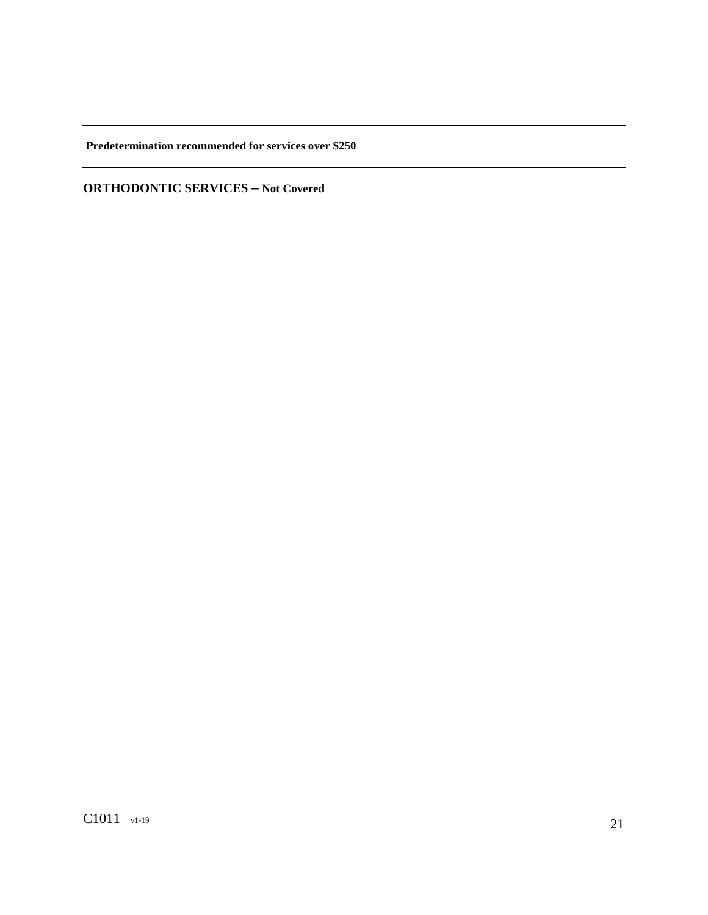**Predetermination recommended for services over \$250** 

**ORTHODONTIC SERVICES – Not Covered**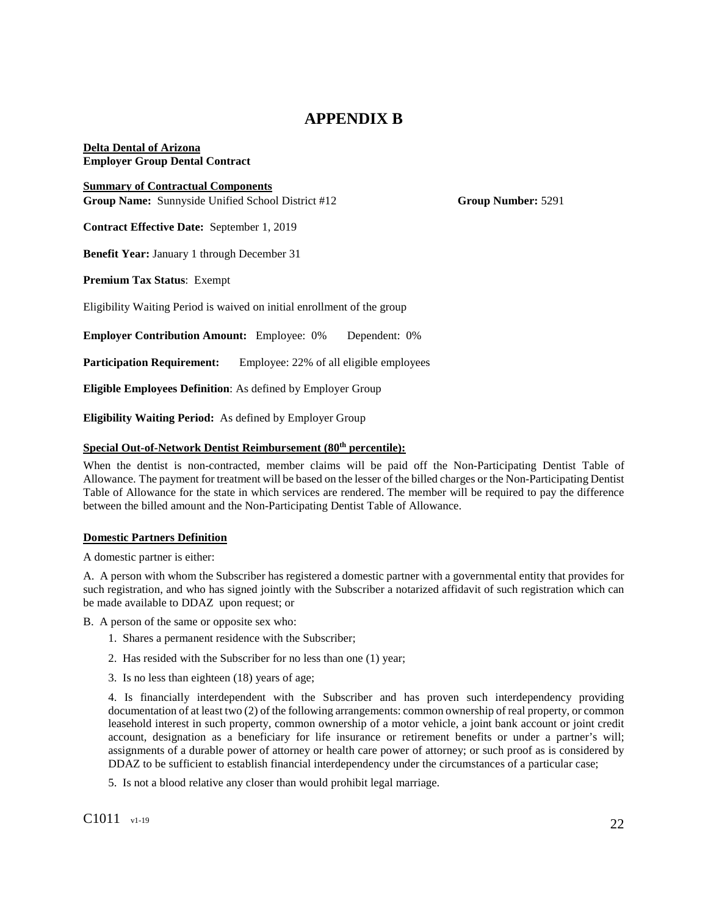# **APPENDIX B**

**Delta Dental of Arizona Employer Group Dental Contract** 

**Summary of Contractual Components Group Name:** Sunnyside Unified School District #12 **Group Number:** 5291

**Contract Effective Date:** September 1, 2019

**Benefit Year:** January 1 through December 31

**Premium Tax Status**: Exempt

Eligibility Waiting Period is waived on initial enrollment of the group

**Employer Contribution Amount:** Employee: 0% Dependent: 0%

**Participation Requirement:** Employee: 22% of all eligible employees

**Eligible Employees Definition**: As defined by Employer Group

**Eligibility Waiting Period:** As defined by Employer Group

## **Special Out-of-Network Dentist Reimbursement (80th percentile):**

When the dentist is non-contracted, member claims will be paid off the Non-Participating Dentist Table of Allowance. The payment for treatment will be based on the lesser of the billed charges or the Non-Participating Dentist Table of Allowance for the state in which services are rendered. The member will be required to pay the difference between the billed amount and the Non-Participating Dentist Table of Allowance.

#### **Domestic Partners Definition**

A domestic partner is either:

A. A person with whom the Subscriber has registered a domestic partner with a governmental entity that provides for such registration, and who has signed jointly with the Subscriber a notarized affidavit of such registration which can be made available to DDAZ upon request; or

B. A person of the same or opposite sex who:

- 1. Shares a permanent residence with the Subscriber;
- 2. Has resided with the Subscriber for no less than one (1) year;
- 3. Is no less than eighteen (18) years of age;

4. Is financially interdependent with the Subscriber and has proven such interdependency providing documentation of at least two (2) of the following arrangements: common ownership of real property, or common leasehold interest in such property, common ownership of a motor vehicle, a joint bank account or joint credit account, designation as a beneficiary for life insurance or retirement benefits or under a partner's will; assignments of a durable power of attorney or health care power of attorney; or such proof as is considered by DDAZ to be sufficient to establish financial interdependency under the circumstances of a particular case;

5. Is not a blood relative any closer than would prohibit legal marriage.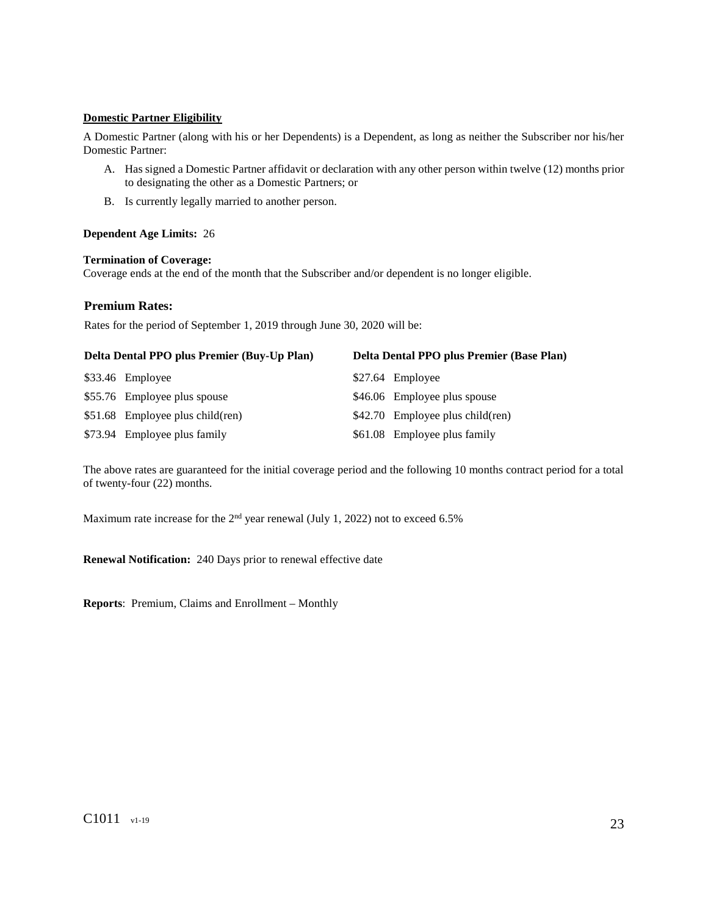## **Domestic Partner Eligibility**

A Domestic Partner (along with his or her Dependents) is a Dependent, as long as neither the Subscriber nor his/her Domestic Partner:

- A. Has signed a Domestic Partner affidavit or declaration with any other person within twelve (12) months prior to designating the other as a Domestic Partners; or
- B. Is currently legally married to another person.

#### **Dependent Age Limits:** 26

## **Termination of Coverage:**

Coverage ends at the end of the month that the Subscriber and/or dependent is no longer eligible.

## **Premium Rates:**

Rates for the period of September 1, 2019 through June 30, 2020 will be:

| Delta Dental PPO plus Premier (Buy-Up Plan) | Delta Dental PPO plus Premier (Base Plan) |
|---------------------------------------------|-------------------------------------------|
| \$33.46 Employee                            | \$27.64 Employee                          |
| \$55.76 Employee plus spouse                | \$46.06 Employee plus spouse              |
| $$51.68$ Employee plus child(ren)           | $$42.70$ Employee plus child(ren)         |
| \$73.94 Employee plus family                | \$61.08 Employee plus family              |

The above rates are guaranteed for the initial coverage period and the following 10 months contract period for a total of twenty-four (22) months.

Maximum rate increase for the  $2<sup>nd</sup>$  year renewal (July 1, 2022) not to exceed 6.5%

**Renewal Notification:** 240 Days prior to renewal effective date

**Reports**: Premium, Claims and Enrollment – Monthly